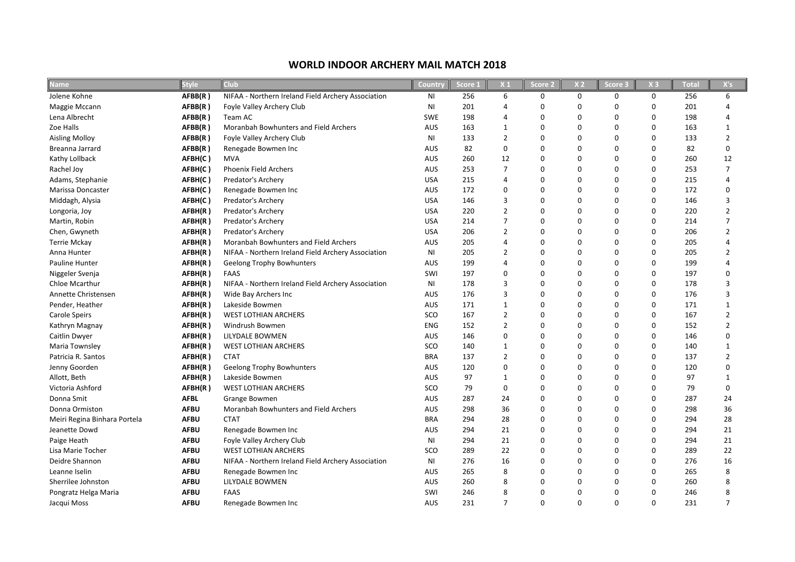## **Name Style Club Country Score 1 X 1 Score 2 X 2 Score 3 X 3 Total X's** Jolene Kohne **AFBB(R)** NIFAA - Northern Ireland Field Archery Association MI 256 6 0 0 0 0 256 6 Maggie Mccann **AFBB(R)** Foyle Valley Archery Club NI 201 4 0 0 0 0 201 4 Lena Albrecht **AFBB(R )** Team AC SWE 198 4 0 0 0 0 198 4 Zoe Halls **AFBB(R)** Moranbah Bowhunters and Field Archers AUS 163 1 0 0 0 0 163 1 Aisling Molloy **AFBB(R )** Foyle Valley Archery Club NI 133 2 2 Breanna Jarrard **AFBB(R )** Renegade Bowmen Inc AUS 82 0 0 0 0 0 82 0 Kathy Lollback **AFBH(C )** MVA AUS 260 12 0 0 0 0 260 12 Rachel Joy **AFBH(C )** Phoenix Field Archers AUS 253 7 0 0 253 7 Adams, Stephanie **AFBH(C )** Predator's Archery USA 215 4 0 0 0 0 215 4 Marissa Doncaster **AFBH(C )** Renegade Bowmen Inc AUS 172 0 0 0 0 0 172 0 Middagh, Alysia **AFBH(C )** Predator's Archery USA 146 3 0 0 0 0 146 3 Longoria, Joy **AFBH(R )** Predator's Archery USA 220 2 0 0 220 2 Martin, Robin **AFBH(R )** Predator's Archery USA 214 7 0 0 0 0 214 7 Chen, Gwyneth **AFBH(R )** Predator's Archery USA 206 2 0 0 0 0 206 2 Terrie Mckay **AFBH(R)** Moranbah Bowhunters and Field Archers AUS 205 4 0 0 0 0 205 4 Anna Hunter **ARBH(R)** NIFAA - Northern Ireland Field Archery Association MI 205 2 0 0 0 0 205 2 Pauline Hunter **AFBH(R)** Geelong Trophy Bowhunters **AUS** 199 4 0 0 0 0 199 4 Niggeler Svenja **AFBH(R )** FAAS SWI 197 0 0 0 0 0 197 0 Chloe Mcarthur **AFBH(R)** NIFAA - Northern Ireland Field Archery Association MI 178 3 0 0 0 0 178 3 Annette Christensen **AFBH(R )** Wide Bay Archers Inc AUS 176 3 0 0 0 0 176 3 Pender, Heather **AFBH(R )** Lakeside Bowmen AUS 171 1 0 0 0 0 171 1 Carole Speirs **AFBH(R )** WEST LOTHIAN ARCHERS SCO 167 2 0 0 0 0 167 2 Kathryn Magnay **AFBH(R )** Windrush Bowmen ENG 152 2 0 0 0 0 152 2 Caitlin Dwyer **AFBH(R )** LILYDALE BOWMEN AUS 146 0 0 0 146 Maria Townsley **AFBH(R )** WEST LOTHIAN ARCHERS SCO 140 1 0 0 140 Patricia R. Santos **AFBH(R )** CTAT BRA 137 2 0 0 0 0 137 2 Jenny Goorden **AFBH(R)** Geelong Trophy Bowhunters AUS 120 0 0 0 0 0 120 0 Allott, Beth **AFBH(R )** Lakeside Bowmen AUS 97 1 0 0 1 Victoria Ashford **AFBH(R )** WEST LOTHIAN ARCHERS SCO 79 0 0 0 0 0 79 0 Donna Smit **AFBL** Grange Bowmen AUS 287 24 0 0 0 0 287 24 Donna Ormiston **AFBU** Moranbah Bowhunters and Field Archers AUS 298 36 0 0 0 0 298 36 Meiri Regina Binhara Portela **AFBU** CTAT BRA 294 28 0 0 0 0 294 28 Jeanette Dowd **AFBU** Renegade Bowmen Inc AUS 294 21 0 0 0 0 294 21 Paige Heath **AFBU** Foyle Valley Archery Club NI 294 21 0 0 0 0 294 21 Lisa Marie Tocher **AFBU** WEST LOTHIAN ARCHERS SCO 289 22 0 0 0 0 289 22 Deidre Shannon **AFBU** NIFAA - Northern Ireland Field Archery Association NI 276 16 0 0 0 0 276 16 Leanne Iselin **AFBU** Renegade Bowmen Inc AUS 265 8 0 0 0 0 265 8 Sherrilee Johnston **AFBU** LILYDALE BOWMEN AUS 260 8 0 0 0 0 260 8 Pongratz Helga Maria **AFBU** FAAS SWI 246 8 0 0 0 0 246 8

Jacqui Moss **AFBU** Renegade Bowmen Inc AUS 231 7 0 0 0 0 231 7

## **WORLD INDOOR ARCHERY MAIL MATCH 2018**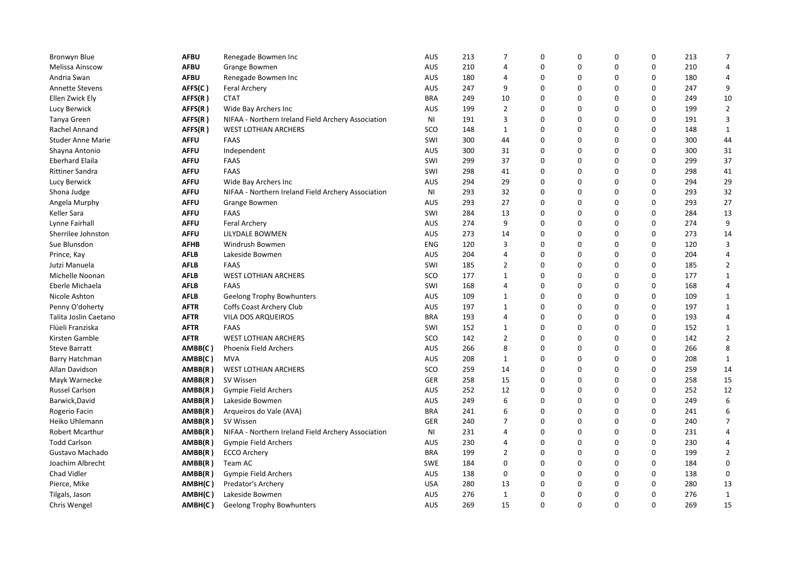| Bronwyn Blue             | <b>AFBU</b> | Renegade Bowmen Inc                                | <b>AUS</b> | 213 | $\overline{7}$          | $\mathbf 0$ | 0 | 0 | 0        | 213 | $\overline{7}$          |
|--------------------------|-------------|----------------------------------------------------|------------|-----|-------------------------|-------------|---|---|----------|-----|-------------------------|
| Melissa Ainscow          | <b>AFBU</b> | <b>Grange Bowmen</b>                               | AUS        | 210 | $\overline{4}$          | 0           | 0 | 0 | 0        | 210 | 4                       |
| Andria Swan              | <b>AFBU</b> | Renegade Bowmen Inc                                | <b>AUS</b> | 180 | $\overline{4}$          | $\mathbf 0$ | 0 | 0 | 0        | 180 | 4                       |
| <b>Annette Stevens</b>   | AFFS(C)     | <b>Feral Archery</b>                               | <b>AUS</b> | 247 | 9                       | $\Omega$    | 0 | 0 | 0        | 247 | 9                       |
| Ellen Zwick Ely          | AFFS(R)     | <b>CTAT</b>                                        | <b>BRA</b> | 249 | 10                      | 0           | 0 | 0 | 0        | 249 | 10                      |
| Lucy Berwick             | AFFS(R)     | Wide Bay Archers Inc                               | <b>AUS</b> | 199 | $\overline{2}$          | 0           | 0 | 0 | 0        | 199 | $\overline{2}$          |
| Tanya Green              | AFFS(R)     | NIFAA - Northern Ireland Field Archery Association | NI         | 191 | 3                       | $\mathbf 0$ | 0 | 0 | 0        | 191 | 3                       |
| Rachel Annand            | AFFS(R)     | <b>WEST LOTHIAN ARCHERS</b>                        | SCO        | 148 | 1                       | $\mathbf 0$ | 0 | 0 | 0        | 148 | $\mathbf{1}$            |
| <b>Studer Anne Marie</b> | <b>AFFU</b> | FAAS                                               | SWI        | 300 | 44                      | $\Omega$    | 0 | 0 | $\Omega$ | 300 | 44                      |
| Shayna Antonio           | <b>AFFU</b> | Independent                                        | AUS        | 300 | 31                      | 0           | 0 | 0 | 0        | 300 | 31                      |
| <b>Eberhard Elaila</b>   | <b>AFFU</b> | <b>FAAS</b>                                        | SWI        | 299 | 37                      | $\mathbf 0$ | 0 | 0 | 0        | 299 | 37                      |
| <b>Rittiner Sandra</b>   | <b>AFFU</b> | <b>FAAS</b>                                        | SWI        | 298 | 41                      | $\mathbf 0$ | 0 | 0 | 0        | 298 | 41                      |
| Lucy Berwick             | <b>AFFU</b> | Wide Bay Archers Inc                               | <b>AUS</b> | 294 | 29                      | 0           | 0 | 0 | 0        | 294 | 29                      |
| Shona Judge              | <b>AFFU</b> | NIFAA - Northern Ireland Field Archery Association | NI         | 293 | 32                      | $\mathbf 0$ | 0 | 0 | 0        | 293 | 32                      |
| Angela Murphy            | <b>AFFU</b> | Grange Bowmen                                      | <b>AUS</b> | 293 | 27                      | 0           | 0 | 0 | 0        | 293 | 27                      |
| Keller Sara              | <b>AFFU</b> | <b>FAAS</b>                                        | SWI        | 284 | 13                      | $\Omega$    | 0 | 0 | $\Omega$ | 284 | 13                      |
| Lynne Fairhall           | <b>AFFU</b> | <b>Feral Archery</b>                               | <b>AUS</b> | 274 | 9                       | $\Omega$    | 0 | 0 | 0        | 274 | 9                       |
| Sherrilee Johnston       | <b>AFFU</b> | LILYDALE BOWMEN                                    | <b>AUS</b> | 273 | 14                      | 0           | 0 | 0 | 0        | 273 | 14                      |
| Sue Blunsdon             | AFHB        | Windrush Bowmen                                    | <b>ENG</b> | 120 | 3                       | $\Omega$    | 0 | 0 | 0        | 120 | 3                       |
| Prince, Kay              | <b>AFLB</b> | Lakeside Bowmen                                    | <b>AUS</b> | 204 | $\overline{\mathbf{4}}$ | 0           | 0 | 0 | 0        | 204 | $\overline{\mathbf{4}}$ |
| Jutzi Manuela            | <b>AFLB</b> | <b>FAAS</b>                                        | SWI        | 185 | $\overline{2}$          | $\mathbf 0$ | 0 | 0 | 0        | 185 | $\overline{2}$          |
| Michelle Noonan          | <b>AFLB</b> | <b>WEST LOTHIAN ARCHERS</b>                        | SCO        | 177 | 1                       | 0           | 0 | 0 | 0        | 177 | $\mathbf{1}$            |
| Eberle Michaela          | <b>AFLB</b> | <b>FAAS</b>                                        | SWI        | 168 | $\overline{4}$          | $\Omega$    | 0 | 0 | 0        | 168 | 4                       |
| Nicole Ashton            | <b>AFLB</b> | <b>Geelong Trophy Bowhunters</b>                   | <b>AUS</b> | 109 | $\mathbf{1}$            | $\Omega$    | 0 | 0 | $\Omega$ | 109 | $1\,$                   |
| Penny O'doherty          | <b>AFTR</b> | Coffs Coast Archery Club                           | AUS        | 197 | 1                       | 0           | 0 | 0 | 0        | 197 | $\mathbf{1}$            |
| Talita Joslin Caetano    | <b>AFTR</b> | <b>VILA DOS ARQUEIROS</b>                          | <b>BRA</b> | 193 | $\overline{4}$          | $\mathbf 0$ | 0 | 0 | 0        | 193 | 4                       |
| Flüeli Franziska         | <b>AFTR</b> | <b>FAAS</b>                                        | SWI        | 152 | 1                       | $\mathbf 0$ | 0 | 0 | 0        | 152 | $\mathbf{1}$            |
| Kirsten Gamble           | <b>AFTR</b> | <b>WEST LOTHIAN ARCHERS</b>                        | SCO        | 142 | $\overline{2}$          | 0           | 0 | 0 | 0        | 142 | $\overline{2}$          |
| <b>Steve Barratt</b>     | AMBB(C)     | <b>Phoenix Field Archers</b>                       | <b>AUS</b> | 266 | 8                       | 0           | 0 | 0 | 0        | 266 | 8                       |
| Barry Hatchman           | AMBB(C)     | <b>MVA</b>                                         | AUS        | 208 | 1                       | $\mathbf 0$ | 0 | 0 | 0        | 208 | $\mathbf{1}$            |
| Allan Davidson           | AMBB(R)     | <b>WEST LOTHIAN ARCHERS</b>                        | SCO        | 259 | 14                      | $\Omega$    | 0 | 0 | $\Omega$ | 259 | 14                      |
| Mayk Warnecke            | AMBB(R)     | SV Wissen                                          | GER        | 258 | 15                      | $\mathbf 0$ | 0 | 0 | 0        | 258 | 15                      |
| <b>Russel Carlson</b>    | AMBB(R)     | Gympie Field Archers                               | <b>AUS</b> | 252 | 12                      | 0           | 0 | 0 | 0        | 252 | 12                      |
| Barwick, David           | AMBB(R)     | Lakeside Bowmen                                    | <b>AUS</b> | 249 | 6                       | $\Omega$    | 0 | 0 | 0        | 249 | 6                       |
| Rogerio Facin            | AMBB(R)     | Arqueiros do Vale (AVA)                            | <b>BRA</b> | 241 | 6                       | $\mathbf 0$ | 0 | 0 | 0        | 241 | 6                       |
| Heiko Uhlemann           | AMBB(R)     | SV Wissen                                          | GER        | 240 | $\overline{7}$          | $\mathbf 0$ | 0 | 0 | 0        | 240 | $\overline{7}$          |
| <b>Robert Mcarthur</b>   | AMBB(R)     | NIFAA - Northern Ireland Field Archery Association | NI         | 231 | $\overline{4}$          | $\Omega$    | 0 | 0 | 0        | 231 | $\overline{4}$          |
| <b>Todd Carlson</b>      | AMBB(R)     | <b>Gympie Field Archers</b>                        | <b>AUS</b> | 230 | 4                       | $\mathbf 0$ | 0 | 0 | 0        | 230 | 4                       |
| Gustavo Machado          | AMBB(R)     | <b>ECCO Archery</b>                                | <b>BRA</b> | 199 | $\overline{2}$          | $\Omega$    | 0 | 0 | $\Omega$ | 199 | $\overline{2}$          |
| Joachim Albrecht         | AMBB(R)     | Team AC                                            | <b>SWE</b> | 184 | 0                       | 0           | 0 | 0 | 0        | 184 | 0                       |
| Chad Vidler              | AMBB(R)     | <b>Gympie Field Archers</b>                        | <b>AUS</b> | 138 | 0                       | $\mathbf 0$ | 0 | 0 | 0        | 138 | 0                       |
| Pierce, Mike             | AMBH(C)     | Predator's Archery                                 | <b>USA</b> | 280 | 13                      | $\mathbf 0$ | 0 | 0 | 0        | 280 | 13                      |
| Tilgals, Jason           | AMBH(C)     | Lakeside Bowmen                                    | AUS        | 276 | $\mathbf{1}$            | 0           | 0 | 0 | 0        | 276 | $\mathbf{1}$            |
| Chris Wengel             | AMBH(C)     | Geelong Trophy Bowhunters                          | <b>AUS</b> | 269 | 15                      | $\Omega$    | 0 | 0 | 0        | 269 | 15                      |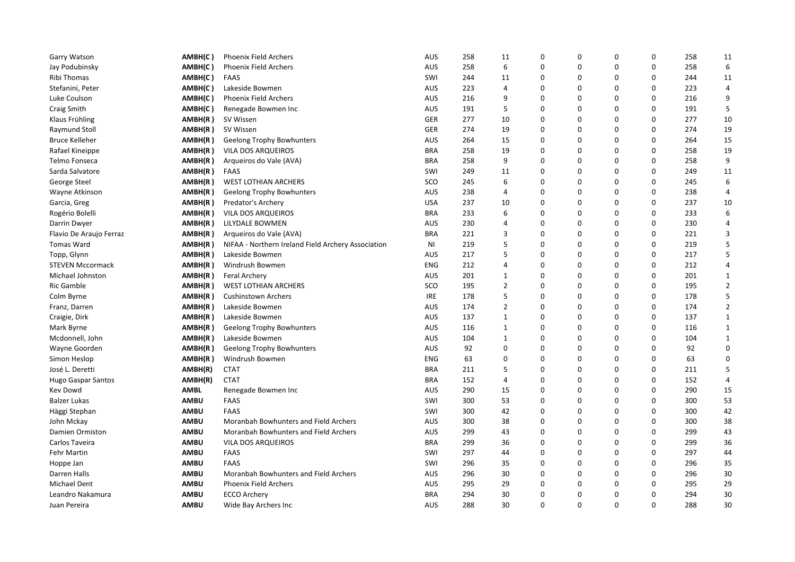| Garry Watson              | AMBH(C)     | <b>Phoenix Field Archers</b>                       | AUS        | 258 | 11             | 0        | 0        | 0        | 0        | 258 | 11                      |
|---------------------------|-------------|----------------------------------------------------|------------|-----|----------------|----------|----------|----------|----------|-----|-------------------------|
| Jay Podubinsky            | AMBH(C)     | <b>Phoenix Field Archers</b>                       | AUS        | 258 | 6              | 0        | 0        | 0        | 0        | 258 | 6                       |
| Ribi Thomas               | AMBH(C)     | <b>FAAS</b>                                        | SWI        | 244 | 11             | 0        | 0        | 0        | 0        | 244 | 11                      |
| Stefanini, Peter          | AMBH(C)     | Lakeside Bowmen                                    | <b>AUS</b> | 223 | 4              | $\Omega$ | 0        | 0        | 0        | 223 | 4                       |
| Luke Coulson              | AMBH(C)     | Phoenix Field Archers                              | <b>AUS</b> | 216 | 9              | 0        | 0        | 0        | 0        | 216 | 9                       |
| Craig Smith               | AMBH(C)     | Renegade Bowmen Inc                                | AUS        | 191 | 5              | 0        | 0        | 0        | 0        | 191 | 5                       |
| Klaus Frühling            | AMBH(R)     | SV Wissen                                          | GER        | 277 | 10             | 0        | 0        | 0        | 0        | 277 | 10                      |
| Raymund Stoll             | AMBH(R)     | SV Wissen                                          | GER        | 274 | 19             | 0        | 0        | 0        | 0        | 274 | 19                      |
| <b>Bruce Kelleher</b>     | AMBH(R)     | Geelong Trophy Bowhunters                          | <b>AUS</b> | 264 | 15             | 0        | $\Omega$ | 0        | 0        | 264 | 15                      |
| Rafael Kineippe           | AMBH(R)     | VILA DOS ARQUEIROS                                 | <b>BRA</b> | 258 | 19             | 0        | 0        | 0        | 0        | 258 | 19                      |
| Telmo Fonseca             | AMBH(R)     | Arqueiros do Vale (AVA)                            | <b>BRA</b> | 258 | 9              | 0        | 0        | 0        | 0        | 258 | 9                       |
| Sarda Salvatore           | AMBH(R)     | <b>FAAS</b>                                        | SWI        | 249 | 11             | $\Omega$ | 0        | 0        | 0        | 249 | 11                      |
| George Steel              | AMBH(R)     | <b>WEST LOTHIAN ARCHERS</b>                        | SCO        | 245 | 6              | 0        | 0        | 0        | 0        | 245 | 6                       |
| Wayne Atkinson            | AMBH(R)     | <b>Geelong Trophy Bowhunters</b>                   | <b>AUS</b> | 238 | 4              | 0        | 0        | 0        | 0        | 238 | $\overline{4}$          |
| Garcia, Greg              | AMBH(R)     | Predator's Archery                                 | <b>USA</b> | 237 | 10             | 0        | 0        | 0        | 0        | 237 | 10                      |
| Rogério Bolelli           | AMBH(R)     | VILA DOS ARQUEIROS                                 | <b>BRA</b> | 233 | 6              | 0        | 0        | 0        | 0        | 233 | 6                       |
| Darrin Dwyer              | AMBH(R)     | LILYDALE BOWMEN                                    | <b>AUS</b> | 230 | $\overline{4}$ | 0        | 0        | 0        | 0        | 230 | $\overline{4}$          |
| Flavio De Araujo Ferraz   | AMBH(R)     | Arqueiros do Vale (AVA)                            | <b>BRA</b> | 221 | 3              | 0        | 0        | 0        | 0        | 221 | 3                       |
| <b>Tomas Ward</b>         | AMBH(R)     | NIFAA - Northern Ireland Field Archery Association | ΝI         | 219 | 5              | $\Omega$ | $\Omega$ | $\Omega$ | 0        | 219 | 5                       |
| Topp, Glynn               | AMBH(R)     | Lakeside Bowmen                                    | <b>AUS</b> | 217 | 5              | 0        | 0        | 0        | 0        | 217 | 5                       |
| <b>STEVEN Mccormack</b>   | AMBH(R)     | Windrush Bowmen                                    | ENG        | 212 | $\overline{4}$ | 0        | 0        | 0        | 0        | 212 | $\overline{\mathbf{4}}$ |
| Michael Johnston          | AMBH(R)     | Feral Archery                                      | <b>AUS</b> | 201 | 1              | 0        | 0        | 0        | 0        | 201 | $\mathbf{1}$            |
| Ric Gamble                | AMBH(R)     | <b>WEST LOTHIAN ARCHERS</b>                        | SCO        | 195 | $\overline{2}$ | 0        | 0        | 0        | 0        | 195 | $\overline{2}$          |
| Colm Byrne                | AMBH(R)     | Cushinstown Archers                                | IRE        | 178 | 5              | 0        | 0        | 0        | 0        | 178 | 5                       |
| Franz, Darren             | AMBH(R)     | Lakeside Bowmen                                    | <b>AUS</b> | 174 | $\overline{2}$ | 0        | 0        | 0        | 0        | 174 | $\overline{2}$          |
| Craigie, Dirk             | AMBH(R)     | Lakeside Bowmen                                    | <b>AUS</b> | 137 | $\mathbf{1}$   | $\Omega$ | $\Omega$ | 0        | 0        | 137 | $\mathbf{1}$            |
| Mark Byrne                | AMBH(R)     | Geelong Trophy Bowhunters                          | AUS        | 116 | 1              | 0        | 0        | 0        | 0        | 116 | $\mathbf{1}$            |
| Mcdonnell, John           | AMBH(R)     | Lakeside Bowmen                                    | <b>AUS</b> | 104 | $\mathbf{1}$   | 0        | 0        | 0        | 0        | 104 | $\mathbf{1}$            |
| Wayne Goorden             | AMBH(R)     | Geelong Trophy Bowhunters                          | AUS        | 92  | $\Omega$       | $\Omega$ | 0        | $\Omega$ | $\Omega$ | 92  | $\mathbf 0$             |
| Simon Heslop              | AMBH(R)     | Windrush Bowmen                                    | <b>ENG</b> | 63  | $\mathbf 0$    | 0        | 0        | 0        | 0        | 63  | $\pmb{0}$               |
| José L. Deretti           | AMBH(R)     | <b>CTAT</b>                                        | <b>BRA</b> | 211 | 5              | 0        | 0        | 0        | 0        | 211 | 5                       |
| <b>Hugo Gaspar Santos</b> | AMBH(R)     | <b>CTAT</b>                                        | <b>BRA</b> | 152 | $\overline{4}$ | 0        | 0        | 0        | 0        | 152 | 4                       |
| Kev Dowd                  | <b>AMBL</b> | Renegade Bowmen Inc                                | AUS        | 290 | 15             | 0        | 0        | 0        | 0        | 290 | 15                      |
| <b>Balzer Lukas</b>       | <b>AMBU</b> | <b>FAAS</b>                                        | SWI        | 300 | 53             | 0        | 0        | 0        | 0        | 300 | 53                      |
| Häggi Stephan             | <b>AMBU</b> | <b>FAAS</b>                                        | SWI        | 300 | 42             | 0        | 0        | 0        | 0        | 300 | 42                      |
| John Mckay                | <b>AMBU</b> | Moranbah Bowhunters and Field Archers              | <b>AUS</b> | 300 | 38             | 0        | 0        | 0        | $\Omega$ | 300 | 38                      |
| Damien Ormiston           | <b>AMBU</b> | Moranbah Bowhunters and Field Archers              | AUS        | 299 | 43             | $\Omega$ | 0        | 0        | 0        | 299 | 43                      |
| Carlos Taveira            | <b>AMBU</b> | VILA DOS ARQUEIROS                                 | <b>BRA</b> | 299 | 36             | 0        | 0        | 0        | 0        | 299 | 36                      |
| Fehr Martin               | <b>AMBU</b> | <b>FAAS</b>                                        | SWI        | 297 | 44             | 0        | 0        | $\Omega$ | $\Omega$ | 297 | 44                      |
| Hoppe Jan                 | <b>AMBU</b> | <b>FAAS</b>                                        | SWI        | 296 | 35             | 0        | 0        | 0        | 0        | 296 | 35                      |
| Darren Halls              | <b>AMBU</b> | Moranbah Bowhunters and Field Archers              | <b>AUS</b> | 296 | 30             | 0        | 0        | 0        | 0        | 296 | 30                      |
| <b>Michael Dent</b>       | <b>AMBU</b> | <b>Phoenix Field Archers</b>                       | <b>AUS</b> | 295 | 29             | 0        | 0        | 0        | 0        | 295 | 29                      |
| Leandro Nakamura          | <b>AMBU</b> | <b>ECCO Archery</b>                                | <b>BRA</b> | 294 | 30             | 0        | 0        | 0        | 0        | 294 | 30                      |
| Juan Pereira              | <b>AMBU</b> | Wide Bay Archers Inc                               | <b>AUS</b> | 288 | 30             | $\Omega$ | 0        | 0        | 0        | 288 | 30                      |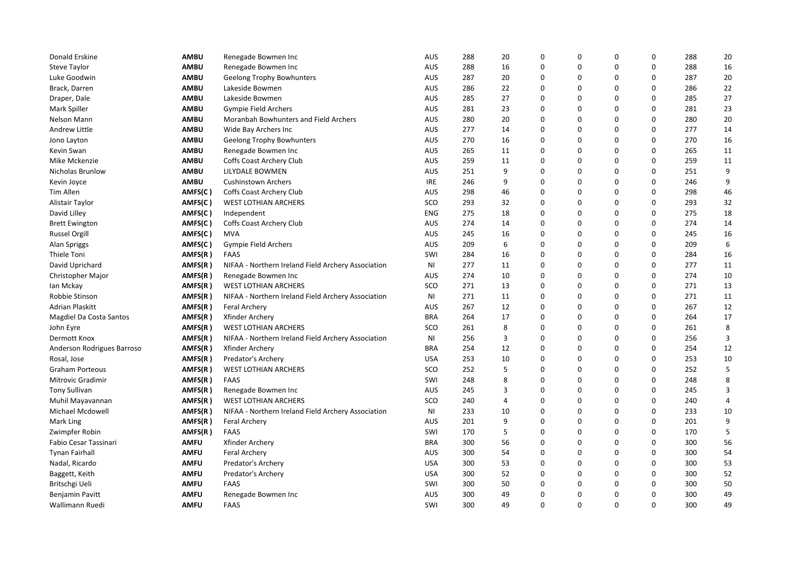| Donald Erskine             | <b>AMBU</b> | Renegade Bowmen Inc                                | AUS            | 288 | 20             | $\Omega$    | $\mathbf 0$ | 0           | 0           | 288 | 20           |
|----------------------------|-------------|----------------------------------------------------|----------------|-----|----------------|-------------|-------------|-------------|-------------|-----|--------------|
| Steve Taylor               | <b>AMBU</b> | Renegade Bowmen Inc                                | <b>AUS</b>     | 288 | 16             | $\mathbf 0$ | $\mathbf 0$ | $\mathbf 0$ | 0           | 288 | 16           |
| Luke Goodwin               | <b>AMBU</b> | <b>Geelong Trophy Bowhunters</b>                   | <b>AUS</b>     | 287 | 20             | $\mathbf 0$ | $\mathbf 0$ | $\mathbf 0$ | $\mathbf 0$ | 287 | 20           |
| Brack, Darren              | <b>AMBU</b> | Lakeside Bowmen                                    | AUS            | 286 | 22             | $\Omega$    | $\mathbf 0$ | $\mathbf 0$ | $\mathbf 0$ | 286 | 22           |
| Draper, Dale               | <b>AMBU</b> | Lakeside Bowmen                                    | <b>AUS</b>     | 285 | 27             | 0           | 0           | 0           | 0           | 285 | 27           |
| Mark Spiller               | <b>AMBU</b> | <b>Gympie Field Archers</b>                        | <b>AUS</b>     | 281 | 23             | $\Omega$    | $\Omega$    | $\Omega$    | $\Omega$    | 281 | 23           |
| Nelson Mann                | <b>AMBU</b> | Moranbah Bowhunters and Field Archers              | <b>AUS</b>     | 280 | 20             | $\Omega$    | $\mathbf 0$ | $\mathbf 0$ | $\mathbf 0$ | 280 | 20           |
| Andrew Little              | <b>AMBU</b> | Wide Bay Archers Inc                               | <b>AUS</b>     | 277 | 14             | 0           | $\mathbf 0$ | $\mathbf 0$ | $\mathbf 0$ | 277 | 14           |
| Jono Layton                | <b>AMBU</b> | <b>Geelong Trophy Bowhunters</b>                   | <b>AUS</b>     | 270 | 16             | $\mathbf 0$ | $\mathbf 0$ | $\mathbf 0$ | $\mathbf 0$ | 270 | 16           |
| Kevin Swan                 | <b>AMBU</b> | Renegade Bowmen Inc                                | <b>AUS</b>     | 265 | 11             | $\mathbf 0$ | $\mathbf 0$ | $\mathbf 0$ | $\mathbf 0$ | 265 | 11           |
| Mike Mckenzie              | <b>AMBU</b> | Coffs Coast Archery Club                           | <b>AUS</b>     | 259 | 11             | $\Omega$    | $\Omega$    | $\Omega$    | $\Omega$    | 259 | 11           |
| <b>Nicholas Brunlow</b>    | <b>AMBU</b> | LILYDALE BOWMEN                                    | <b>AUS</b>     | 251 | 9              | 0           | $\mathbf 0$ | $\mathbf 0$ | $\mathbf 0$ | 251 | 9            |
| Kevin Joyce                | <b>AMBU</b> | <b>Cushinstown Archers</b>                         | <b>IRE</b>     | 246 | 9              | $\mathbf 0$ | $\mathbf 0$ | $\Omega$    | $\mathbf 0$ | 246 | 9            |
| Tim Allen                  | AMFS(C)     | Coffs Coast Archery Club                           | AUS            | 298 | 46             | $\Omega$    | $\mathbf 0$ | $\Omega$    | $\mathbf 0$ | 298 | 46           |
| Alistair Taylor            | AMFS(C)     | <b>WEST LOTHIAN ARCHERS</b>                        | SCO            | 293 | 32             | $\mathbf 0$ | $\mathbf 0$ | $\mathbf 0$ | $\mathbf 0$ | 293 | 32           |
| David Lilley               | AMFS(C)     | Independent                                        | <b>ENG</b>     | 275 | 18             | $\mathbf 0$ | $\mathbf 0$ | 0           | $\Omega$    | 275 | 18           |
| <b>Brett Ewington</b>      | AMFS(C)     | Coffs Coast Archery Club                           | AUS            | 274 | 14             | $\mathbf 0$ | $\mathbf 0$ | $\mathbf 0$ | $\mathbf 0$ | 274 | 14           |
| <b>Russel Orgill</b>       | AMFS(C)     | <b>MVA</b>                                         | <b>AUS</b>     | 245 | 16             | 0           | 0           | 0           | $\mathbf 0$ | 245 | 16           |
| Alan Spriggs               | AMFS(C)     | Gympie Field Archers                               | <b>AUS</b>     | 209 | 6              | $\Omega$    | $\mathbf 0$ | $\mathbf 0$ | $\Omega$    | 209 | 6            |
| Thiele Toni                | AMFS(R)     | <b>FAAS</b>                                        | SWI            | 284 | 16             | $\mathbf 0$ | $\mathbf 0$ | $\mathbf 0$ | $\mathbf 0$ | 284 | 16           |
| David Uprichard            | AMFS(R)     | NIFAA - Northern Ireland Field Archery Association | N <sub>1</sub> | 277 | 11             | $\mathbf 0$ | $\Omega$    | $\mathbf 0$ | $\mathbf 0$ | 277 | 11           |
| Christopher Major          | AMFS(R)     | Renegade Bowmen Inc                                | <b>AUS</b>     | 274 | 10             | 0           | $\mathbf 0$ | $\mathbf 0$ | $\mathbf 0$ | 274 | 10           |
| lan Mckay                  | AMFS(R)     | <b>WEST LOTHIAN ARCHERS</b>                        | SCO            | 271 | 13             | $\mathbf 0$ | $\mathbf 0$ | $\mathbf 0$ | $\mathbf 0$ | 271 | 13           |
| Robbie Stinson             | AMFS(R)     | NIFAA - Northern Ireland Field Archery Association | ΝI             | 271 | 11             | $\Omega$    | $\Omega$    | $\Omega$    | $\Omega$    | 271 | 11           |
| Adrian Plaskitt            | AMFS(R)     | <b>Feral Archery</b>                               | <b>AUS</b>     | 267 | 12             | $\mathbf 0$ | $\mathbf 0$ | $\mathbf 0$ | $\mathbf 0$ | 267 | 12           |
| Magdiel Da Costa Santos    | AMFS(R)     | Xfinder Archery                                    | <b>BRA</b>     | 264 | 17             | $\mathbf 0$ | $\mathbf 0$ | $\mathbf 0$ | $\mathbf 0$ | 264 | 17           |
| John Eyre                  | AMFS(R)     | <b>WEST LOTHIAN ARCHERS</b>                        | SCO            | 261 | 8              | 0           | $\mathbf 0$ | $\mathbf 0$ | $\mathbf 0$ | 261 | 8            |
| Dermott Knox               | AMFS(R)     | NIFAA - Northern Ireland Field Archery Association | N <sub>1</sub> | 256 | 3              | $\mathbf 0$ | $\mathbf 0$ | $\mathbf 0$ | $\mathbf 0$ | 256 | $\mathsf{3}$ |
| Anderson Rodrigues Barroso | AMFS(R)     | Xfinder Archery                                    | <b>BRA</b>     | 254 | 12             | $\Omega$    | $\mathbf 0$ | $\mathbf 0$ | $\Omega$    | 254 | 12           |
| Rosal, Jose                | AMFS(R)     | Predator's Archery                                 | <b>USA</b>     | 253 | 10             | $\Omega$    | $\Omega$    | $\mathbf 0$ | $\mathbf 0$ | 253 | 10           |
| <b>Graham Porteous</b>     | AMFS(R)     | <b>WEST LOTHIAN ARCHERS</b>                        | SCO            | 252 | 5              | $\Omega$    | $\Omega$    | $\mathbf 0$ | $\mathbf 0$ | 252 | 5            |
| <b>Mitrovic Gradimir</b>   | AMFS(R)     | <b>FAAS</b>                                        | SWI            | 248 | 8              | 0           | $\mathbf 0$ | $\mathbf 0$ | $\mathbf 0$ | 248 | 8            |
| <b>Tony Sullivan</b>       | AMFS(R)     | Renegade Bowmen Inc                                | <b>AUS</b>     | 245 | 3              | $\mathbf 0$ | $\mathbf 0$ | $\mathbf 0$ | $\mathbf 0$ | 245 | 3            |
| Muhil Mayavannan           | AMFS(R)     | <b>WEST LOTHIAN ARCHERS</b>                        | SCO            | 240 | $\overline{4}$ | $\mathbf 0$ | $\mathbf 0$ | $\mathbf 0$ | $\mathbf 0$ | 240 | 4            |
| Michael Mcdowell           | AMFS(R)     | NIFAA - Northern Ireland Field Archery Association | ΝI             | 233 | 10             | $\mathbf 0$ | $\mathbf 0$ | $\mathbf 0$ | 0           | 233 | 10           |
| Mark Ling                  | AMFS(R)     | Feral Archery                                      | <b>AUS</b>     | 201 | 9              | $\mathbf 0$ | $\mathbf 0$ | $\mathbf 0$ | $\mathbf 0$ | 201 | 9            |
| Zwimpfer Robin             | AMFS(R)     | FAAS                                               | SWI            | 170 | 5              | $\mathbf 0$ | $\mathbf 0$ | $\mathbf 0$ | $\mathbf 0$ | 170 | 5            |
| Fabio Cesar Tassinari      | AMFU        | Xfinder Archery                                    | <b>BRA</b>     | 300 | 56             | 0           | $\mathbf 0$ | 0           | $\mathbf 0$ | 300 | 56           |
| <b>Tynan Fairhall</b>      | <b>AMFU</b> | <b>Feral Archery</b>                               | <b>AUS</b>     | 300 | 54             | $\Omega$    | $\Omega$    | $\Omega$    | $\Omega$    | 300 | 54           |
| Nadal, Ricardo             | <b>AMFU</b> | Predator's Archery                                 | <b>USA</b>     | 300 | 53             | $\Omega$    | $\mathbf 0$ | $\mathbf 0$ | $\mathbf 0$ | 300 | 53           |
| Baggett, Keith             | AMFU        | Predator's Archery                                 | <b>USA</b>     | 300 | 52             | $\mathbf 0$ | $\mathbf 0$ | $\mathbf 0$ | $\mathbf 0$ | 300 | 52           |
| Britschgi Ueli             | <b>AMFU</b> | <b>FAAS</b>                                        | SWI            | 300 | 50             | 0           | 0           | 0           | $\mathbf 0$ | 300 | 50           |
| Benjamin Pavitt            | <b>AMFU</b> | Renegade Bowmen Inc                                | AUS            | 300 | 49             | $\mathbf 0$ | $\mathbf 0$ | $\mathbf 0$ | $\mathbf 0$ | 300 | 49           |
| Wallimann Ruedi            | <b>AMFU</b> | <b>FAAS</b>                                        | SWI            | 300 | 49             | $\Omega$    | $\Omega$    | $\Omega$    | $\Omega$    | 300 | 49           |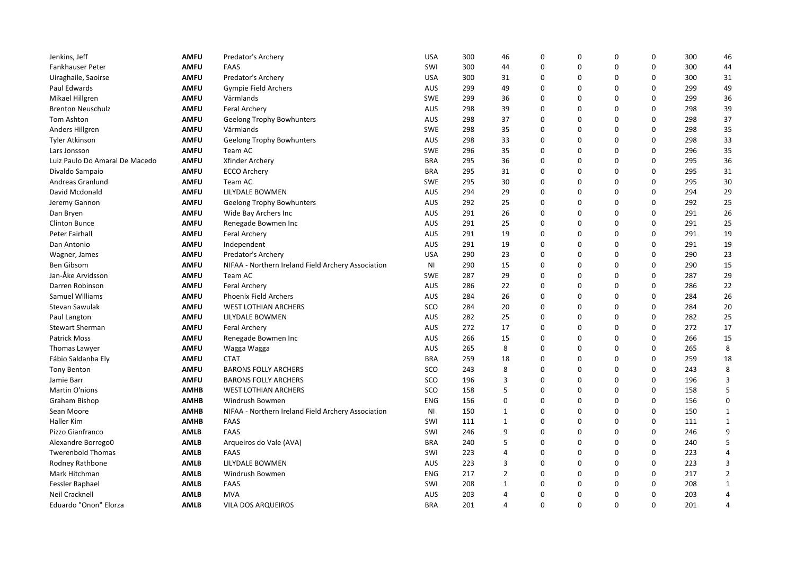| Jenkins, Jeff                  | <b>AMFU</b> | Predator's Archery                                 | <b>USA</b>     | 300 | 46             | $\Omega$    | 0        | $\pmb{0}$ | 0        | 300 | 46             |
|--------------------------------|-------------|----------------------------------------------------|----------------|-----|----------------|-------------|----------|-----------|----------|-----|----------------|
| Fankhauser Peter               | <b>AMFU</b> | <b>FAAS</b>                                        | SWI            | 300 | 44             | 0           | 0        | 0         | 0        | 300 | 44             |
| Uiraghaile, Saoirse            | <b>AMFU</b> | Predator's Archery                                 | <b>USA</b>     | 300 | 31             | $\mathbf 0$ | 0        | 0         | 0        | 300 | 31             |
| Paul Edwards                   | <b>AMFU</b> | Gympie Field Archers                               | AUS            | 299 | 49             | $\mathbf 0$ | 0        | 0         | 0        | 299 | 49             |
| Mikael Hillgren                | <b>AMFU</b> | Värmlands                                          | <b>SWE</b>     | 299 | 36             | 0           | 0        | 0         | 0        | 299 | 36             |
| <b>Brenton Neuschulz</b>       | <b>AMFU</b> | <b>Feral Archery</b>                               | <b>AUS</b>     | 298 | 39             | $\mathbf 0$ | 0        | 0         | 0        | 298 | 39             |
| Tom Ashton                     | <b>AMFU</b> | <b>Geelong Trophy Bowhunters</b>                   | <b>AUS</b>     | 298 | 37             | $\mathbf 0$ | 0        | 0         | 0        | 298 | 37             |
| Anders Hillgren                | <b>AMFU</b> | Värmlands                                          | <b>SWE</b>     | 298 | 35             | 0           | 0        | 0         | 0        | 298 | 35             |
| Tyler Atkinson                 | <b>AMFU</b> | <b>Geelong Trophy Bowhunters</b>                   | <b>AUS</b>     | 298 | 33             | $\mathbf 0$ | 0        | 0         | 0        | 298 | 33             |
| Lars Jonsson                   | <b>AMFU</b> | Team AC                                            | <b>SWE</b>     | 296 | 35             | $\mathbf 0$ | 0        | 0         | 0        | 296 | 35             |
| Luiz Paulo Do Amaral De Macedo | <b>AMFU</b> | Xfinder Archery                                    | <b>BRA</b>     | 295 | 36             | $\Omega$    | $\Omega$ | $\Omega$  | $\Omega$ | 295 | 36             |
| Divaldo Sampaio                | <b>AMFU</b> | <b>ECCO Archery</b>                                | <b>BRA</b>     | 295 | 31             | $\mathbf 0$ | 0        | 0         | 0        | 295 | 31             |
| Andreas Granlund               | <b>AMFU</b> | Team AC                                            | <b>SWE</b>     | 295 | 30             | $\mathbf 0$ | 0        | 0         | 0        | 295 | 30             |
| David Mcdonald                 | <b>AMFU</b> | LILYDALE BOWMEN                                    | AUS            | 294 | 29             | 0           | 0        | 0         | 0        | 294 | 29             |
| Jeremy Gannon                  | <b>AMFU</b> | <b>Geelong Trophy Bowhunters</b>                   | AUS            | 292 | 25             | 0           | 0        | 0         | 0        | 292 | 25             |
| Dan Bryen                      | <b>AMFU</b> | Wide Bay Archers Inc                               | <b>AUS</b>     | 291 | 26             | $\mathbf 0$ | 0        | 0         | 0        | 291 | 26             |
| Clinton Bunce                  | <b>AMFU</b> | Renegade Bowmen Inc                                | AUS            | 291 | 25             | $\mathbf 0$ | 0        | 0         | 0        | 291 | 25             |
| Peter Fairhall                 | AMFU        | <b>Feral Archery</b>                               | <b>AUS</b>     | 291 | 19             | $\mathbf 0$ | 0        | 0         | 0        | 291 | 19             |
| Dan Antonio                    | <b>AMFU</b> | Independent                                        | <b>AUS</b>     | 291 | 19             | $\mathbf 0$ | 0        | 0         | 0        | 291 | 19             |
| Wagner, James                  | <b>AMFU</b> | Predator's Archery                                 | <b>USA</b>     | 290 | 23             | $\mathbf 0$ | 0        | 0         | 0        | 290 | 23             |
| <b>Ben Gibsom</b>              | <b>AMFU</b> | NIFAA - Northern Ireland Field Archery Association | N <sub>1</sub> | 290 | 15             | $\mathbf 0$ | 0        | 0         | 0        | 290 | 15             |
| Jan-Åke Arvidsson              | <b>AMFU</b> | Team AC                                            | <b>SWE</b>     | 287 | 29             | $\mathbf 0$ | 0        | 0         | 0        | 287 | 29             |
| Darren Robinson                | AMFU        | Feral Archery                                      | <b>AUS</b>     | 286 | 22             | $\mathbf 0$ | 0        | 0         | 0        | 286 | 22             |
| Samuel Williams                | <b>AMFU</b> | Phoenix Field Archers                              | AUS            | 284 | 26             | $\Omega$    | $\Omega$ | 0         | $\Omega$ | 284 | 26             |
| Stevan Sawulak                 | <b>AMFU</b> | <b>WEST LOTHIAN ARCHERS</b>                        | SCO            | 284 | 20             | 0           | 0        | 0         | 0        | 284 | 20             |
| Paul Langton                   | <b>AMFU</b> | LILYDALE BOWMEN                                    | <b>AUS</b>     | 282 | 25             | $\mathbf 0$ | 0        | 0         | 0        | 282 | 25             |
| <b>Stewart Sherman</b>         | <b>AMFU</b> | <b>Feral Archery</b>                               | AUS            | 272 | 17             | $\mathbf 0$ | 0        | 0         | 0        | 272 | 17             |
| <b>Patrick Moss</b>            | AMFU        | Renegade Bowmen Inc                                | <b>AUS</b>     | 266 | 15             | 0           | 0        | 0         | 0        | 266 | 15             |
| Thomas Lawyer                  | <b>AMFU</b> | Wagga Wagga                                        | <b>AUS</b>     | 265 | 8              | $\mathbf 0$ | 0        | 0         | 0        | 265 | 8              |
| Fábio Saldanha Ely             | <b>AMFU</b> | <b>CTAT</b>                                        | <b>BRA</b>     | 259 | 18             | $\mathbf 0$ | 0        | 0         | 0        | 259 | 18             |
| Tony Benton                    | <b>AMFU</b> | <b>BARONS FOLLY ARCHERS</b>                        | SCO            | 243 | 8              | $\mathbf 0$ | 0        | 0         | 0        | 243 | 8              |
| Jamie Barr                     | <b>AMFU</b> | <b>BARONS FOLLY ARCHERS</b>                        | SCO            | 196 | 3              | $\mathbf 0$ | 0        | 0         | 0        | 196 | 3              |
| Martin O'nions                 | <b>AMHB</b> | <b>WEST LOTHIAN ARCHERS</b>                        | SCO            | 158 | 5              | $\mathbf 0$ | 0        | 0         | 0        | 158 | 5              |
| Graham Bishop                  | <b>AMHB</b> | Windrush Bowmen                                    | <b>ENG</b>     | 156 | 0              | $\Omega$    | 0        | 0         | 0        | 156 | $\pmb{0}$      |
| Sean Moore                     | <b>AMHB</b> | NIFAA - Northern Ireland Field Archery Association | NI             | 150 | 1              | $\mathbf 0$ | 0        | 0         | 0        | 150 | $\mathbf{1}$   |
| Haller Kim                     | <b>AMHB</b> | <b>FAAS</b>                                        | SWI            | 111 | $\mathbf{1}$   | $\mathbf 0$ | 0        | 0         | 0        | 111 | $\mathbf{1}$   |
| Pizzo Gianfranco               | <b>AMLB</b> | FAAS                                               | SWI            | 246 | 9              | $\mathbf 0$ | 0        | 0         | 0        | 246 | 9              |
| Alexandre Borrego0             | <b>AMLB</b> | Arqueiros do Vale (AVA)                            | <b>BRA</b>     | 240 | 5              | 0           | 0        | 0         | 0        | 240 | 5              |
| <b>Twerenbold Thomas</b>       | <b>AMLB</b> | <b>FAAS</b>                                        | SWI            | 223 | $\overline{4}$ | $\Omega$    | 0        | 0         | 0        | 223 | $\overline{4}$ |
| Rodney Rathbone                | <b>AMLB</b> | LILYDALE BOWMEN                                    | AUS            | 223 | 3              | $\mathbf 0$ | 0        | 0         | 0        | 223 | 3              |
| Mark Hitchman                  | <b>AMLB</b> | Windrush Bowmen                                    | <b>ENG</b>     | 217 | $\overline{2}$ | $\mathbf 0$ | 0        | 0         | 0        | 217 | $\overline{2}$ |
| Fessler Raphael                | <b>AMLB</b> | <b>FAAS</b>                                        | SWI            | 208 | 1              | $\mathbf 0$ | 0        | 0         | 0        | 208 | $\mathbf{1}$   |
| Neil Cracknell                 | <b>AMLB</b> | <b>MVA</b>                                         | AUS            | 203 | 4              | $\mathbf 0$ | 0        | 0         | 0        | 203 | 4              |
| Eduardo "Onon" Elorza          | <b>AMLB</b> | VILA DOS ARQUEIROS                                 | <b>BRA</b>     | 201 | 4              | $\Omega$    | 0        | 0         | 0        | 201 | 4              |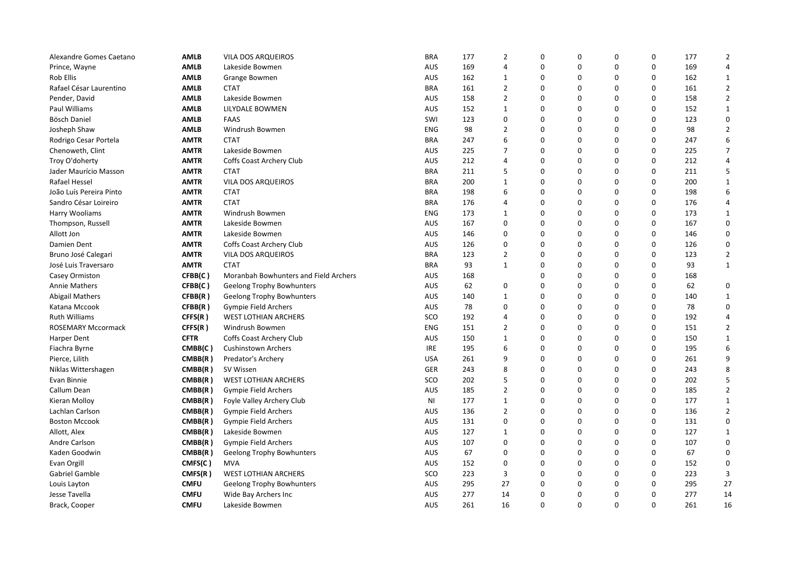| Alexandre Gomes Caetano | <b>AMLB</b> | VILA DOS ARQUEIROS                    | <b>BRA</b> | 177 | $\overline{2}$ | 0        | 0        | $\Omega$    | 0           | 177 | $\overline{2}$ |
|-------------------------|-------------|---------------------------------------|------------|-----|----------------|----------|----------|-------------|-------------|-----|----------------|
| Prince, Wayne           | <b>AMLB</b> | Lakeside Bowmen                       | AUS        | 169 | 4              | 0        | 0        | $\mathbf 0$ | 0           | 169 | 4              |
| Rob Ellis               | <b>AMLB</b> | Grange Bowmen                         | AUS        | 162 | $\mathbf{1}$   | 0        | 0        | $\Omega$    | 0           | 162 | $\mathbf{1}$   |
| Rafael César Laurentino | <b>AMLB</b> | <b>CTAT</b>                           | <b>BRA</b> | 161 | $\overline{2}$ | 0        | 0        | $\Omega$    | $\Omega$    | 161 | $\overline{2}$ |
| Pender, David           | <b>AMLB</b> | Lakeside Bowmen                       | AUS        | 158 | $\overline{2}$ | 0        | 0        | $\mathbf 0$ | $\mathbf 0$ | 158 | $\overline{2}$ |
| Paul Williams           | <b>AMLB</b> | LILYDALE BOWMEN                       | <b>AUS</b> | 152 | $\mathbf{1}$   | 0        | 0        | $\Omega$    | 0           | 152 | $\mathbf{1}$   |
| Bösch Daniel            | <b>AMLB</b> | <b>FAAS</b>                           | SWI        | 123 | 0              | 0        | 0        | $\Omega$    | 0           | 123 | $\mathbf 0$    |
| Josheph Shaw            | <b>AMLB</b> | Windrush Bowmen                       | ENG        | 98  | $\overline{2}$ | 0        | 0        | $\Omega$    | 0           | 98  | $\overline{2}$ |
| Rodrigo Cesar Portela   | <b>AMTR</b> | <b>CTAT</b>                           | <b>BRA</b> | 247 | 6              | 0        | 0        | $\Omega$    | $\Omega$    | 247 | 6              |
| Chenoweth, Clint        | <b>AMTR</b> | Lakeside Bowmen                       | AUS        | 225 | $\overline{7}$ | 0        | 0        | $\Omega$    | 0           | 225 | $\overline{7}$ |
| Troy O'doherty          | <b>AMTR</b> | Coffs Coast Archery Club              | <b>AUS</b> | 212 | 4              | 0        | 0        | $\Omega$    | 0           | 212 | $\overline{4}$ |
| Jader Maurício Masson   | <b>AMTR</b> | <b>CTAT</b>                           | <b>BRA</b> | 211 | 5              | 0        | 0        | $\mathbf 0$ | 0           | 211 | 5              |
| Rafael Hessel           | <b>AMTR</b> | VILA DOS ARQUEIROS                    | <b>BRA</b> | 200 | $\mathbf{1}$   | 0        | 0        | 0           | 0           | 200 | 1              |
| João Luís Pereira Pinto | <b>AMTR</b> | <b>CTAT</b>                           | <b>BRA</b> | 198 | 6              | 0        | 0        | $\Omega$    | 0           | 198 | 6              |
| Sandro César Loireiro   | <b>AMTR</b> | <b>CTAT</b>                           | <b>BRA</b> | 176 | 4              | 0        | 0        | $\Omega$    | 0           | 176 | 4              |
| Harry Wooliams          | <b>AMTR</b> | Windrush Bowmen                       | ENG        | 173 | 1              | 0        | 0        | $\Omega$    | 0           | 173 | $\mathbf 1$    |
| Thompson, Russell       | <b>AMTR</b> | Lakeside Bowmen                       | AUS        | 167 | 0              | 0        | 0        | $\Omega$    | 0           | 167 | $\mathbf 0$    |
| Allott Jon              | <b>AMTR</b> | Lakeside Bowmen                       | AUS        | 146 | 0              | 0        | 0        | $\Omega$    | 0           | 146 | $\mathbf 0$    |
| Damien Dent             | <b>AMTR</b> | Coffs Coast Archery Club              | AUS        | 126 | 0              | 0        | 0        | $\Omega$    | $\Omega$    | 126 | $\pmb{0}$      |
| Bruno José Calegari     | <b>AMTR</b> | VILA DOS ARQUEIROS                    | <b>BRA</b> | 123 | $\overline{2}$ | 0        | 0        | 0           | 0           | 123 | $\overline{2}$ |
| José Luis Traversaro    | <b>AMTR</b> | <b>CTAT</b>                           | <b>BRA</b> | 93  | $\mathbf{1}$   | 0        | 0        | $\Omega$    | $\Omega$    | 93  | $\mathbf{1}$   |
| Casey Ormiston          | CFBB(C)     | Moranbah Bowhunters and Field Archers | <b>AUS</b> | 168 |                | 0        | 0        | $\Omega$    | 0           | 168 |                |
| <b>Annie Mathers</b>    | CFBB(C)     | Geelong Trophy Bowhunters             | AUS        | 62  | 0              | 0        | 0        | $\mathbf 0$ | 0           | 62  | 0              |
| <b>Abigail Mathers</b>  | CFBB(R)     | Geelong Trophy Bowhunters             | AUS        | 140 | $\mathbf{1}$   | 0        | 0        | $\Omega$    | $\Omega$    | 140 | $\mathbf 1$    |
| Katana Mccook           | CFBB(R)     | Gympie Field Archers                  | AUS        | 78  | 0              | 0        | 0        | $\Omega$    | 0           | 78  | $\mathbf 0$    |
| <b>Ruth Williams</b>    | CFFS(R)     | <b>WEST LOTHIAN ARCHERS</b>           | SCO        | 192 | 4              | 0        | 0        | $\mathbf 0$ | 0           | 192 | $\overline{4}$ |
| ROSEMARY Mccormack      | CFFS(R)     | Windrush Bowmen                       | ENG        | 151 | $\overline{2}$ | 0        | 0        | 0           | 0           | 151 | $\overline{2}$ |
| <b>Harper Dent</b>      | <b>CFTR</b> | Coffs Coast Archery Club              | <b>AUS</b> | 150 | $\mathbf{1}$   | 0        | 0        | $\Omega$    | 0           | 150 | $\mathbf{1}$   |
| Fiachra Byrne           | CMBB(C)     | <b>Cushinstown Archers</b>            | <b>IRE</b> | 195 | 6              | $\Omega$ | $\Omega$ | $\Omega$    | $\Omega$    | 195 | 6              |
| Pierce, Lilith          | CMBB(R)     | Predator's Archery                    | <b>USA</b> | 261 | 9              | 0        | 0        | $\Omega$    | 0           | 261 | 9              |
| Niklas Wittershagen     | CMBB(R)     | SV Wissen                             | GER        | 243 | 8              | 0        | 0        | $\Omega$    | $\Omega$    | 243 | 8              |
| Evan Binnie             | CMBB(R)     | <b>WEST LOTHIAN ARCHERS</b>           | SCO        | 202 | 5              | 0        | 0        | $\Omega$    | 0           | 202 | 5              |
| Callum Dean             | CMBB(R)     | <b>Gympie Field Archers</b>           | AUS        | 185 | $\overline{2}$ | 0        | 0        | $\mathbf 0$ | 0           | 185 | $\overline{2}$ |
| Kieran Molloy           | CMBB(R)     | Foyle Valley Archery Club             | <b>NI</b>  | 177 | $\mathbf{1}$   | 0        | 0        | $\Omega$    | $\Omega$    | 177 | $\mathbf 1$    |
| Lachlan Carlson         | CMBB(R)     | <b>Gympie Field Archers</b>           | AUS        | 136 | $\overline{2}$ | 0        | 0        | $\Omega$    | 0           | 136 | $\overline{2}$ |
| <b>Boston Mccook</b>    | CMBB(R)     | Gympie Field Archers                  | AUS        | 131 | 0              | 0        | 0        | $\Omega$    | $\Omega$    | 131 | $\mathbf 0$    |
| Allott, Alex            | CMBB(R)     | Lakeside Bowmen                       | AUS        | 127 | $\mathbf{1}$   | 0        | 0        | $\Omega$    | 0           | 127 | $\mathbf 1$    |
| Andre Carlson           | CMBB(R)     | Gympie Field Archers                  | <b>AUS</b> | 107 | 0              | 0        | 0        | $\Omega$    | 0           | 107 | $\mathbf 0$    |
| Kaden Goodwin           | CMBB(R)     | <b>Geelong Trophy Bowhunters</b>      | <b>AUS</b> | 67  | 0              | 0        | 0        | $\Omega$    | $\Omega$    | 67  | $\mathbf 0$    |
| Evan Orgill             | CMFS(C)     | <b>MVA</b>                            | AUS        | 152 | 0              | 0        | 0        | $\mathbf 0$ | 0           | 152 | $\pmb{0}$      |
| Gabriel Gamble          | CMFS(R)     | <b>WEST LOTHIAN ARCHERS</b>           | SCO        | 223 | 3              | 0        | 0        | 0           | 0           | 223 | $\mathbf{3}$   |
| Louis Layton            | <b>CMFU</b> | <b>Geelong Trophy Bowhunters</b>      | AUS        | 295 | 27             | 0        | 0        | $\Omega$    | 0           | 295 | 27             |
| Jesse Tavella           | <b>CMFU</b> | Wide Bay Archers Inc                  | AUS        | 277 | 14             | 0        | 0        | $\Omega$    | 0           | 277 | 14             |
| Brack, Cooper           | <b>CMFU</b> | Lakeside Bowmen                       | AUS        | 261 | 16             | $\Omega$ | 0        | $\Omega$    | $\Omega$    | 261 | 16             |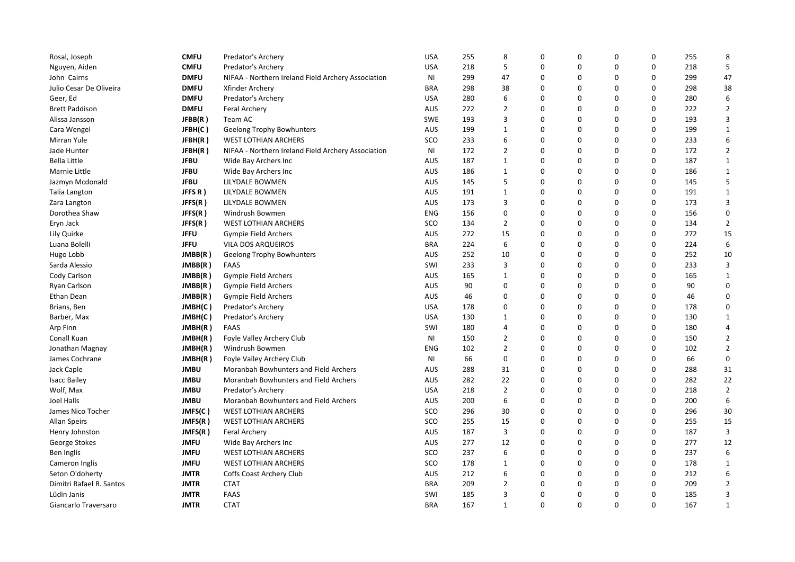| <b>CMFU</b><br><b>USA</b><br>218<br>5<br>0<br>0<br>$\pmb{0}$<br>0<br>218<br>5<br>Nguyen, Aiden<br>Predator's Archery<br>47<br><b>DMFU</b><br>NIFAA - Northern Ireland Field Archery Association<br>299<br>47<br>0<br>0<br>0<br>$\Omega$<br>299<br>John Cairns<br><b>NI</b><br>0<br>$\Omega$<br>38<br>Julio Cesar De Oliveira<br><b>DMFU</b><br><b>BRA</b><br>298<br>38<br>0<br>$\Omega$<br>298<br>Xfinder Archery<br>0<br>$\mathbf 0$<br>$\Omega$<br>6<br>Geer, Ed<br><b>DMFU</b><br>Predator's Archery<br><b>USA</b><br>280<br>6<br>0<br>280<br>$\Omega$<br>$\overline{2}$<br><b>DMFU</b><br><b>AUS</b><br>222<br>$\overline{2}$<br>0<br>0<br>$\Omega$<br>222<br><b>Brett Paddison</b><br>Feral Archery<br><b>SWE</b><br>193<br>3<br>0<br>$\Omega$<br>$\Omega$<br>193<br>3<br>JFBB(R)<br>Team AC<br>0<br>Alissa Jansson<br>199<br>0<br>0<br>$\mathbf 0$<br>$\Omega$<br>199<br>$\mathbf 1$<br>Cara Wengel<br>JFBH(C)<br><b>Geelong Trophy Bowhunters</b><br><b>AUS</b><br>$\mathbf{1}$<br>0<br>$\Omega$<br>$\Omega$<br>6<br>SCO<br>6<br>0<br>233<br>Mirran Yule<br>JFBH(R)<br><b>WEST LOTHIAN ARCHERS</b><br>233<br>0<br>$\Omega$<br>$\overline{2}$<br>172<br>$\overline{2}$<br>0<br>0<br>172<br>Jade Hunter<br>JFBH(R)<br>NIFAA - Northern Ireland Field Archery Association<br>ΝI<br>187<br>$\Omega$<br>$\Omega$<br>$\Omega$<br>$\Omega$<br>187<br>$\mathbf 1$<br>Bella Little<br><b>JFBU</b><br><b>AUS</b><br>$\mathbf{1}$<br>Wide Bay Archers Inc<br><b>JFBU</b><br><b>AUS</b><br>186<br>0<br>0<br>$\Omega$<br>0<br>186<br>Marnie Little<br>Wide Bay Archers Inc<br>1<br>1<br>5<br><b>JFBU</b><br>AUS<br>5<br>0<br>0<br>$\Omega$<br>0<br>Jazmyn Mcdonald<br>LILYDALE BOWMEN<br>145<br>145<br>0<br>$\Omega$<br>$\Omega$<br>JFFS R)<br>LILYDALE BOWMEN<br>AUS<br>191<br>$\mathbf{1}$<br>0<br>191<br>$\mathbf 1$<br>Talia Langton<br>3<br>$\Omega$<br>JFFS(R)<br>173<br>0<br>0<br>$\mathbf 0$<br>173<br>3<br>LILYDALE BOWMEN<br><b>AUS</b><br>Zara Langton<br>0<br>0<br>$\Omega$<br>$\Omega$<br>$\mathbf 0$<br>Dorothea Shaw<br>JFFS(R)<br><b>ENG</b><br>156<br>0<br>156<br>Windrush Bowmen<br>0<br>$\overline{2}$<br>JFFS(R)<br><b>WEST LOTHIAN ARCHERS</b><br>SCO<br>134<br>$\overline{2}$<br>0<br>$\Omega$<br>0<br>134<br>Eryn Jack<br><b>JFFU</b><br>15<br>0<br>0<br>$\mathbf 0$<br>$\Omega$<br>272<br>15<br>Lily Quirke<br>Gympie Field Archers<br><b>AUS</b><br>272<br><b>JFFU</b><br><b>BRA</b><br>224<br>6<br>0<br>0<br>$\Omega$<br>$\Omega$<br>224<br>6<br>Luana Bolelli<br>VILA DOS ARQUEIROS<br>0<br>$\Omega$<br>0<br>10<br>JMBB(R)<br>AUS<br>252<br>10<br>0<br>252<br>Hugo Lobb<br>Geelong Trophy Bowhunters<br>JMBB(R)<br>233<br>3<br>0<br>0<br>$\Omega$<br>$\Omega$<br>233<br>3<br>Sarda Alessio<br><b>FAAS</b><br>SWI<br>JMBB(R)<br><b>AUS</b><br>165<br>0<br>0<br>$\Omega$<br>$\Omega$<br>165<br>Cody Carlson<br>Gympie Field Archers<br>1<br>1<br>$\Omega$<br>$\mathbf 0$<br>JMBB(R)<br><b>AUS</b><br>90<br>0<br>0<br>0<br>$\Omega$<br>90<br><b>Ryan Carlson</b><br>Gympie Field Archers<br>$\Omega$<br>$\Omega$<br>$\Omega$<br>$\Omega$<br>$\mathbf 0$<br>Ethan Dean<br>JMBB(R)<br>AUS<br>46<br>0<br>46<br>Gympie Field Archers<br><b>USA</b><br>0<br>0<br>$\Omega$<br>$\Omega$<br>178<br>$\mathbf 0$<br>Brians, Ben<br>JMBH(C)<br>Predator's Archery<br>178<br>0<br><b>USA</b><br>130<br>0<br>0<br>$\Omega$<br>0<br>130<br>$\mathbf{1}$<br>Barber, Max<br>JMBH(C)<br>Predator's Archery<br>1<br>180<br>0<br>$\Omega$<br>0<br>180<br>Arp Finn<br>JMBH(R)<br><b>FAAS</b><br>SWI<br>4<br>0<br>$\overline{4}$<br>$\mathbf 2$<br>$\overline{2}$<br>0<br>0<br>$\mathbf 0$<br>0<br>150<br>Conall Kuan<br>JMBH(R)<br>Foyle Valley Archery Club<br>ΝI<br>150<br>$\overline{2}$<br>0<br>$\Omega$<br>$\Omega$<br>$\overline{2}$<br>Windrush Bowmen<br>102<br>0<br>102<br>Jonathan Magnay<br>JMBH(R)<br><b>ENG</b><br>0<br>0<br>0<br>$\Omega$<br>0<br>66<br>$\pmb{0}$<br>James Cochrane<br>NI<br>66<br>JMBH(R)<br>Foyle Valley Archery Club<br><b>JMBU</b><br>0<br>0<br>$\Omega$<br>$\Omega$<br>288<br>31<br>Jack Caple<br>Moranbah Bowhunters and Field Archers<br><b>AUS</b><br>288<br>31<br><b>JMBU</b><br><b>AUS</b><br>282<br>22<br>0<br>0<br>$\Omega$<br>$\Omega$<br>282<br>22<br><b>Isacc Bailey</b><br>Moranbah Bowhunters and Field Archers<br>0<br>$\Omega$<br>$\Omega$<br>$\overline{2}$<br>Wolf, Max<br><b>JMBU</b><br><b>USA</b><br>218<br>$\overline{2}$<br>0<br>218<br>Predator's Archery<br>0<br>6<br>6<br>0<br>$\Omega$<br>$\Omega$<br>200<br>Joel Halls<br><b>JMBU</b><br>Moranbah Bowhunters and Field Archers<br><b>AUS</b><br>200<br>JMFS(C)<br><b>WEST LOTHIAN ARCHERS</b><br>SCO<br>296<br>30<br>0<br>0<br>$\Omega$<br>0<br>296<br>30<br>James Nico Tocher<br>0<br>$\Omega$<br>$\Omega$<br>JMFS(R)<br><b>WEST LOTHIAN ARCHERS</b><br>SCO<br>255<br>15<br>0<br>255<br>15<br><b>Allan Speirs</b><br>3<br>3<br>0<br>0<br>$\mathbf 0$<br>$\Omega$<br>Henry Johnston<br>JMFS(R)<br>Feral Archery<br>AUS<br>187<br>187<br>12<br>0<br>0<br>0<br>12<br>George Stokes<br><b>JMFU</b><br><b>AUS</b><br>277<br>0<br>277<br>Wide Bay Archers Inc<br>6<br>$\Omega$<br>$\Omega$<br>$\Omega$<br><b>JMFU</b><br><b>WEST LOTHIAN ARCHERS</b><br>SCO<br>237<br>0<br>237<br>6<br>Ben Inglis<br><b>JMFU</b><br>SCO<br>178<br>0<br>0<br>$\Omega$<br>0<br>178<br><b>WEST LOTHIAN ARCHERS</b><br>$\mathbf 1$<br>Cameron Inglis<br>1<br>6<br>0<br>0<br>$\mathbf 0$<br>0<br>212<br>6<br>Seton O'doherty<br>JMTR<br>Coffs Coast Archery Club<br><b>AUS</b><br>212<br><b>JMTR</b><br><b>CTAT</b><br><b>BRA</b><br>209<br>$\overline{2}$<br>0<br>$\Omega$<br>$\Omega$<br>209<br>$\overline{2}$<br>Dimitri Rafael R. Santos<br>0<br>3<br>3<br>FAAS<br>SWI<br>185<br>0<br>0<br>$\Omega$<br>$\Omega$<br>185<br>Lüdin Janis<br><b>JMTR</b> | Rosal, Joseph        | <b>CMFU</b> | Predator's Archery | <b>USA</b> | 255 | 8            | 0 | 0        | $\Omega$ | $\Omega$ | 255 | 8           |
|-------------------------------------------------------------------------------------------------------------------------------------------------------------------------------------------------------------------------------------------------------------------------------------------------------------------------------------------------------------------------------------------------------------------------------------------------------------------------------------------------------------------------------------------------------------------------------------------------------------------------------------------------------------------------------------------------------------------------------------------------------------------------------------------------------------------------------------------------------------------------------------------------------------------------------------------------------------------------------------------------------------------------------------------------------------------------------------------------------------------------------------------------------------------------------------------------------------------------------------------------------------------------------------------------------------------------------------------------------------------------------------------------------------------------------------------------------------------------------------------------------------------------------------------------------------------------------------------------------------------------------------------------------------------------------------------------------------------------------------------------------------------------------------------------------------------------------------------------------------------------------------------------------------------------------------------------------------------------------------------------------------------------------------------------------------------------------------------------------------------------------------------------------------------------------------------------------------------------------------------------------------------------------------------------------------------------------------------------------------------------------------------------------------------------------------------------------------------------------------------------------------------------------------------------------------------------------------------------------------------------------------------------------------------------------------------------------------------------------------------------------------------------------------------------------------------------------------------------------------------------------------------------------------------------------------------------------------------------------------------------------------------------------------------------------------------------------------------------------------------------------------------------------------------------------------------------------------------------------------------------------------------------------------------------------------------------------------------------------------------------------------------------------------------------------------------------------------------------------------------------------------------------------------------------------------------------------------------------------------------------------------------------------------------------------------------------------------------------------------------------------------------------------------------------------------------------------------------------------------------------------------------------------------------------------------------------------------------------------------------------------------------------------------------------------------------------------------------------------------------------------------------------------------------------------------------------------------------------------------------------------------------------------------------------------------------------------------------------------------------------------------------------------------------------------------------------------------------------------------------------------------------------------------------------------------------------------------------------------------------------------------------------------------------------------------------------------------------------------------------------------------------------------------------------------------------------------------------------------------------------------------------------------------------------------------------------------------------------------------------------------------------------------------------------------------------------------------------------------------------------------------------------------------------------------------------------------------------------------------------------------------------------------------------------------------------------------------------------------------------------------------------------------------------------------------------------------------------------------------------------------------------------------------------------------------------------------------------------------------------------------------------------------------------------------------------------------------------------------------------|----------------------|-------------|--------------------|------------|-----|--------------|---|----------|----------|----------|-----|-------------|
|                                                                                                                                                                                                                                                                                                                                                                                                                                                                                                                                                                                                                                                                                                                                                                                                                                                                                                                                                                                                                                                                                                                                                                                                                                                                                                                                                                                                                                                                                                                                                                                                                                                                                                                                                                                                                                                                                                                                                                                                                                                                                                                                                                                                                                                                                                                                                                                                                                                                                                                                                                                                                                                                                                                                                                                                                                                                                                                                                                                                                                                                                                                                                                                                                                                                                                                                                                                                                                                                                                                                                                                                                                                                                                                                                                                                                                                                                                                                                                                                                                                                                                                                                                                                                                                                                                                                                                                                                                                                                                                                                                                                                                                                                                                                                                                                                                                                                                                                                                                                                                                                                                                                                                                                                                                                                                                                                                                                                                                                                                                                                                                                                                                                                                                                           |                      |             |                    |            |     |              |   |          |          |          |     |             |
|                                                                                                                                                                                                                                                                                                                                                                                                                                                                                                                                                                                                                                                                                                                                                                                                                                                                                                                                                                                                                                                                                                                                                                                                                                                                                                                                                                                                                                                                                                                                                                                                                                                                                                                                                                                                                                                                                                                                                                                                                                                                                                                                                                                                                                                                                                                                                                                                                                                                                                                                                                                                                                                                                                                                                                                                                                                                                                                                                                                                                                                                                                                                                                                                                                                                                                                                                                                                                                                                                                                                                                                                                                                                                                                                                                                                                                                                                                                                                                                                                                                                                                                                                                                                                                                                                                                                                                                                                                                                                                                                                                                                                                                                                                                                                                                                                                                                                                                                                                                                                                                                                                                                                                                                                                                                                                                                                                                                                                                                                                                                                                                                                                                                                                                                           |                      |             |                    |            |     |              |   |          |          |          |     |             |
|                                                                                                                                                                                                                                                                                                                                                                                                                                                                                                                                                                                                                                                                                                                                                                                                                                                                                                                                                                                                                                                                                                                                                                                                                                                                                                                                                                                                                                                                                                                                                                                                                                                                                                                                                                                                                                                                                                                                                                                                                                                                                                                                                                                                                                                                                                                                                                                                                                                                                                                                                                                                                                                                                                                                                                                                                                                                                                                                                                                                                                                                                                                                                                                                                                                                                                                                                                                                                                                                                                                                                                                                                                                                                                                                                                                                                                                                                                                                                                                                                                                                                                                                                                                                                                                                                                                                                                                                                                                                                                                                                                                                                                                                                                                                                                                                                                                                                                                                                                                                                                                                                                                                                                                                                                                                                                                                                                                                                                                                                                                                                                                                                                                                                                                                           |                      |             |                    |            |     |              |   |          |          |          |     |             |
|                                                                                                                                                                                                                                                                                                                                                                                                                                                                                                                                                                                                                                                                                                                                                                                                                                                                                                                                                                                                                                                                                                                                                                                                                                                                                                                                                                                                                                                                                                                                                                                                                                                                                                                                                                                                                                                                                                                                                                                                                                                                                                                                                                                                                                                                                                                                                                                                                                                                                                                                                                                                                                                                                                                                                                                                                                                                                                                                                                                                                                                                                                                                                                                                                                                                                                                                                                                                                                                                                                                                                                                                                                                                                                                                                                                                                                                                                                                                                                                                                                                                                                                                                                                                                                                                                                                                                                                                                                                                                                                                                                                                                                                                                                                                                                                                                                                                                                                                                                                                                                                                                                                                                                                                                                                                                                                                                                                                                                                                                                                                                                                                                                                                                                                                           |                      |             |                    |            |     |              |   |          |          |          |     |             |
|                                                                                                                                                                                                                                                                                                                                                                                                                                                                                                                                                                                                                                                                                                                                                                                                                                                                                                                                                                                                                                                                                                                                                                                                                                                                                                                                                                                                                                                                                                                                                                                                                                                                                                                                                                                                                                                                                                                                                                                                                                                                                                                                                                                                                                                                                                                                                                                                                                                                                                                                                                                                                                                                                                                                                                                                                                                                                                                                                                                                                                                                                                                                                                                                                                                                                                                                                                                                                                                                                                                                                                                                                                                                                                                                                                                                                                                                                                                                                                                                                                                                                                                                                                                                                                                                                                                                                                                                                                                                                                                                                                                                                                                                                                                                                                                                                                                                                                                                                                                                                                                                                                                                                                                                                                                                                                                                                                                                                                                                                                                                                                                                                                                                                                                                           |                      |             |                    |            |     |              |   |          |          |          |     |             |
|                                                                                                                                                                                                                                                                                                                                                                                                                                                                                                                                                                                                                                                                                                                                                                                                                                                                                                                                                                                                                                                                                                                                                                                                                                                                                                                                                                                                                                                                                                                                                                                                                                                                                                                                                                                                                                                                                                                                                                                                                                                                                                                                                                                                                                                                                                                                                                                                                                                                                                                                                                                                                                                                                                                                                                                                                                                                                                                                                                                                                                                                                                                                                                                                                                                                                                                                                                                                                                                                                                                                                                                                                                                                                                                                                                                                                                                                                                                                                                                                                                                                                                                                                                                                                                                                                                                                                                                                                                                                                                                                                                                                                                                                                                                                                                                                                                                                                                                                                                                                                                                                                                                                                                                                                                                                                                                                                                                                                                                                                                                                                                                                                                                                                                                                           |                      |             |                    |            |     |              |   |          |          |          |     |             |
|                                                                                                                                                                                                                                                                                                                                                                                                                                                                                                                                                                                                                                                                                                                                                                                                                                                                                                                                                                                                                                                                                                                                                                                                                                                                                                                                                                                                                                                                                                                                                                                                                                                                                                                                                                                                                                                                                                                                                                                                                                                                                                                                                                                                                                                                                                                                                                                                                                                                                                                                                                                                                                                                                                                                                                                                                                                                                                                                                                                                                                                                                                                                                                                                                                                                                                                                                                                                                                                                                                                                                                                                                                                                                                                                                                                                                                                                                                                                                                                                                                                                                                                                                                                                                                                                                                                                                                                                                                                                                                                                                                                                                                                                                                                                                                                                                                                                                                                                                                                                                                                                                                                                                                                                                                                                                                                                                                                                                                                                                                                                                                                                                                                                                                                                           |                      |             |                    |            |     |              |   |          |          |          |     |             |
|                                                                                                                                                                                                                                                                                                                                                                                                                                                                                                                                                                                                                                                                                                                                                                                                                                                                                                                                                                                                                                                                                                                                                                                                                                                                                                                                                                                                                                                                                                                                                                                                                                                                                                                                                                                                                                                                                                                                                                                                                                                                                                                                                                                                                                                                                                                                                                                                                                                                                                                                                                                                                                                                                                                                                                                                                                                                                                                                                                                                                                                                                                                                                                                                                                                                                                                                                                                                                                                                                                                                                                                                                                                                                                                                                                                                                                                                                                                                                                                                                                                                                                                                                                                                                                                                                                                                                                                                                                                                                                                                                                                                                                                                                                                                                                                                                                                                                                                                                                                                                                                                                                                                                                                                                                                                                                                                                                                                                                                                                                                                                                                                                                                                                                                                           |                      |             |                    |            |     |              |   |          |          |          |     |             |
|                                                                                                                                                                                                                                                                                                                                                                                                                                                                                                                                                                                                                                                                                                                                                                                                                                                                                                                                                                                                                                                                                                                                                                                                                                                                                                                                                                                                                                                                                                                                                                                                                                                                                                                                                                                                                                                                                                                                                                                                                                                                                                                                                                                                                                                                                                                                                                                                                                                                                                                                                                                                                                                                                                                                                                                                                                                                                                                                                                                                                                                                                                                                                                                                                                                                                                                                                                                                                                                                                                                                                                                                                                                                                                                                                                                                                                                                                                                                                                                                                                                                                                                                                                                                                                                                                                                                                                                                                                                                                                                                                                                                                                                                                                                                                                                                                                                                                                                                                                                                                                                                                                                                                                                                                                                                                                                                                                                                                                                                                                                                                                                                                                                                                                                                           |                      |             |                    |            |     |              |   |          |          |          |     |             |
|                                                                                                                                                                                                                                                                                                                                                                                                                                                                                                                                                                                                                                                                                                                                                                                                                                                                                                                                                                                                                                                                                                                                                                                                                                                                                                                                                                                                                                                                                                                                                                                                                                                                                                                                                                                                                                                                                                                                                                                                                                                                                                                                                                                                                                                                                                                                                                                                                                                                                                                                                                                                                                                                                                                                                                                                                                                                                                                                                                                                                                                                                                                                                                                                                                                                                                                                                                                                                                                                                                                                                                                                                                                                                                                                                                                                                                                                                                                                                                                                                                                                                                                                                                                                                                                                                                                                                                                                                                                                                                                                                                                                                                                                                                                                                                                                                                                                                                                                                                                                                                                                                                                                                                                                                                                                                                                                                                                                                                                                                                                                                                                                                                                                                                                                           |                      |             |                    |            |     |              |   |          |          |          |     |             |
|                                                                                                                                                                                                                                                                                                                                                                                                                                                                                                                                                                                                                                                                                                                                                                                                                                                                                                                                                                                                                                                                                                                                                                                                                                                                                                                                                                                                                                                                                                                                                                                                                                                                                                                                                                                                                                                                                                                                                                                                                                                                                                                                                                                                                                                                                                                                                                                                                                                                                                                                                                                                                                                                                                                                                                                                                                                                                                                                                                                                                                                                                                                                                                                                                                                                                                                                                                                                                                                                                                                                                                                                                                                                                                                                                                                                                                                                                                                                                                                                                                                                                                                                                                                                                                                                                                                                                                                                                                                                                                                                                                                                                                                                                                                                                                                                                                                                                                                                                                                                                                                                                                                                                                                                                                                                                                                                                                                                                                                                                                                                                                                                                                                                                                                                           |                      |             |                    |            |     |              |   |          |          |          |     |             |
|                                                                                                                                                                                                                                                                                                                                                                                                                                                                                                                                                                                                                                                                                                                                                                                                                                                                                                                                                                                                                                                                                                                                                                                                                                                                                                                                                                                                                                                                                                                                                                                                                                                                                                                                                                                                                                                                                                                                                                                                                                                                                                                                                                                                                                                                                                                                                                                                                                                                                                                                                                                                                                                                                                                                                                                                                                                                                                                                                                                                                                                                                                                                                                                                                                                                                                                                                                                                                                                                                                                                                                                                                                                                                                                                                                                                                                                                                                                                                                                                                                                                                                                                                                                                                                                                                                                                                                                                                                                                                                                                                                                                                                                                                                                                                                                                                                                                                                                                                                                                                                                                                                                                                                                                                                                                                                                                                                                                                                                                                                                                                                                                                                                                                                                                           |                      |             |                    |            |     |              |   |          |          |          |     |             |
|                                                                                                                                                                                                                                                                                                                                                                                                                                                                                                                                                                                                                                                                                                                                                                                                                                                                                                                                                                                                                                                                                                                                                                                                                                                                                                                                                                                                                                                                                                                                                                                                                                                                                                                                                                                                                                                                                                                                                                                                                                                                                                                                                                                                                                                                                                                                                                                                                                                                                                                                                                                                                                                                                                                                                                                                                                                                                                                                                                                                                                                                                                                                                                                                                                                                                                                                                                                                                                                                                                                                                                                                                                                                                                                                                                                                                                                                                                                                                                                                                                                                                                                                                                                                                                                                                                                                                                                                                                                                                                                                                                                                                                                                                                                                                                                                                                                                                                                                                                                                                                                                                                                                                                                                                                                                                                                                                                                                                                                                                                                                                                                                                                                                                                                                           |                      |             |                    |            |     |              |   |          |          |          |     |             |
|                                                                                                                                                                                                                                                                                                                                                                                                                                                                                                                                                                                                                                                                                                                                                                                                                                                                                                                                                                                                                                                                                                                                                                                                                                                                                                                                                                                                                                                                                                                                                                                                                                                                                                                                                                                                                                                                                                                                                                                                                                                                                                                                                                                                                                                                                                                                                                                                                                                                                                                                                                                                                                                                                                                                                                                                                                                                                                                                                                                                                                                                                                                                                                                                                                                                                                                                                                                                                                                                                                                                                                                                                                                                                                                                                                                                                                                                                                                                                                                                                                                                                                                                                                                                                                                                                                                                                                                                                                                                                                                                                                                                                                                                                                                                                                                                                                                                                                                                                                                                                                                                                                                                                                                                                                                                                                                                                                                                                                                                                                                                                                                                                                                                                                                                           |                      |             |                    |            |     |              |   |          |          |          |     |             |
|                                                                                                                                                                                                                                                                                                                                                                                                                                                                                                                                                                                                                                                                                                                                                                                                                                                                                                                                                                                                                                                                                                                                                                                                                                                                                                                                                                                                                                                                                                                                                                                                                                                                                                                                                                                                                                                                                                                                                                                                                                                                                                                                                                                                                                                                                                                                                                                                                                                                                                                                                                                                                                                                                                                                                                                                                                                                                                                                                                                                                                                                                                                                                                                                                                                                                                                                                                                                                                                                                                                                                                                                                                                                                                                                                                                                                                                                                                                                                                                                                                                                                                                                                                                                                                                                                                                                                                                                                                                                                                                                                                                                                                                                                                                                                                                                                                                                                                                                                                                                                                                                                                                                                                                                                                                                                                                                                                                                                                                                                                                                                                                                                                                                                                                                           |                      |             |                    |            |     |              |   |          |          |          |     |             |
|                                                                                                                                                                                                                                                                                                                                                                                                                                                                                                                                                                                                                                                                                                                                                                                                                                                                                                                                                                                                                                                                                                                                                                                                                                                                                                                                                                                                                                                                                                                                                                                                                                                                                                                                                                                                                                                                                                                                                                                                                                                                                                                                                                                                                                                                                                                                                                                                                                                                                                                                                                                                                                                                                                                                                                                                                                                                                                                                                                                                                                                                                                                                                                                                                                                                                                                                                                                                                                                                                                                                                                                                                                                                                                                                                                                                                                                                                                                                                                                                                                                                                                                                                                                                                                                                                                                                                                                                                                                                                                                                                                                                                                                                                                                                                                                                                                                                                                                                                                                                                                                                                                                                                                                                                                                                                                                                                                                                                                                                                                                                                                                                                                                                                                                                           |                      |             |                    |            |     |              |   |          |          |          |     |             |
|                                                                                                                                                                                                                                                                                                                                                                                                                                                                                                                                                                                                                                                                                                                                                                                                                                                                                                                                                                                                                                                                                                                                                                                                                                                                                                                                                                                                                                                                                                                                                                                                                                                                                                                                                                                                                                                                                                                                                                                                                                                                                                                                                                                                                                                                                                                                                                                                                                                                                                                                                                                                                                                                                                                                                                                                                                                                                                                                                                                                                                                                                                                                                                                                                                                                                                                                                                                                                                                                                                                                                                                                                                                                                                                                                                                                                                                                                                                                                                                                                                                                                                                                                                                                                                                                                                                                                                                                                                                                                                                                                                                                                                                                                                                                                                                                                                                                                                                                                                                                                                                                                                                                                                                                                                                                                                                                                                                                                                                                                                                                                                                                                                                                                                                                           |                      |             |                    |            |     |              |   |          |          |          |     |             |
|                                                                                                                                                                                                                                                                                                                                                                                                                                                                                                                                                                                                                                                                                                                                                                                                                                                                                                                                                                                                                                                                                                                                                                                                                                                                                                                                                                                                                                                                                                                                                                                                                                                                                                                                                                                                                                                                                                                                                                                                                                                                                                                                                                                                                                                                                                                                                                                                                                                                                                                                                                                                                                                                                                                                                                                                                                                                                                                                                                                                                                                                                                                                                                                                                                                                                                                                                                                                                                                                                                                                                                                                                                                                                                                                                                                                                                                                                                                                                                                                                                                                                                                                                                                                                                                                                                                                                                                                                                                                                                                                                                                                                                                                                                                                                                                                                                                                                                                                                                                                                                                                                                                                                                                                                                                                                                                                                                                                                                                                                                                                                                                                                                                                                                                                           |                      |             |                    |            |     |              |   |          |          |          |     |             |
|                                                                                                                                                                                                                                                                                                                                                                                                                                                                                                                                                                                                                                                                                                                                                                                                                                                                                                                                                                                                                                                                                                                                                                                                                                                                                                                                                                                                                                                                                                                                                                                                                                                                                                                                                                                                                                                                                                                                                                                                                                                                                                                                                                                                                                                                                                                                                                                                                                                                                                                                                                                                                                                                                                                                                                                                                                                                                                                                                                                                                                                                                                                                                                                                                                                                                                                                                                                                                                                                                                                                                                                                                                                                                                                                                                                                                                                                                                                                                                                                                                                                                                                                                                                                                                                                                                                                                                                                                                                                                                                                                                                                                                                                                                                                                                                                                                                                                                                                                                                                                                                                                                                                                                                                                                                                                                                                                                                                                                                                                                                                                                                                                                                                                                                                           |                      |             |                    |            |     |              |   |          |          |          |     |             |
|                                                                                                                                                                                                                                                                                                                                                                                                                                                                                                                                                                                                                                                                                                                                                                                                                                                                                                                                                                                                                                                                                                                                                                                                                                                                                                                                                                                                                                                                                                                                                                                                                                                                                                                                                                                                                                                                                                                                                                                                                                                                                                                                                                                                                                                                                                                                                                                                                                                                                                                                                                                                                                                                                                                                                                                                                                                                                                                                                                                                                                                                                                                                                                                                                                                                                                                                                                                                                                                                                                                                                                                                                                                                                                                                                                                                                                                                                                                                                                                                                                                                                                                                                                                                                                                                                                                                                                                                                                                                                                                                                                                                                                                                                                                                                                                                                                                                                                                                                                                                                                                                                                                                                                                                                                                                                                                                                                                                                                                                                                                                                                                                                                                                                                                                           |                      |             |                    |            |     |              |   |          |          |          |     |             |
|                                                                                                                                                                                                                                                                                                                                                                                                                                                                                                                                                                                                                                                                                                                                                                                                                                                                                                                                                                                                                                                                                                                                                                                                                                                                                                                                                                                                                                                                                                                                                                                                                                                                                                                                                                                                                                                                                                                                                                                                                                                                                                                                                                                                                                                                                                                                                                                                                                                                                                                                                                                                                                                                                                                                                                                                                                                                                                                                                                                                                                                                                                                                                                                                                                                                                                                                                                                                                                                                                                                                                                                                                                                                                                                                                                                                                                                                                                                                                                                                                                                                                                                                                                                                                                                                                                                                                                                                                                                                                                                                                                                                                                                                                                                                                                                                                                                                                                                                                                                                                                                                                                                                                                                                                                                                                                                                                                                                                                                                                                                                                                                                                                                                                                                                           |                      |             |                    |            |     |              |   |          |          |          |     |             |
|                                                                                                                                                                                                                                                                                                                                                                                                                                                                                                                                                                                                                                                                                                                                                                                                                                                                                                                                                                                                                                                                                                                                                                                                                                                                                                                                                                                                                                                                                                                                                                                                                                                                                                                                                                                                                                                                                                                                                                                                                                                                                                                                                                                                                                                                                                                                                                                                                                                                                                                                                                                                                                                                                                                                                                                                                                                                                                                                                                                                                                                                                                                                                                                                                                                                                                                                                                                                                                                                                                                                                                                                                                                                                                                                                                                                                                                                                                                                                                                                                                                                                                                                                                                                                                                                                                                                                                                                                                                                                                                                                                                                                                                                                                                                                                                                                                                                                                                                                                                                                                                                                                                                                                                                                                                                                                                                                                                                                                                                                                                                                                                                                                                                                                                                           |                      |             |                    |            |     |              |   |          |          |          |     |             |
|                                                                                                                                                                                                                                                                                                                                                                                                                                                                                                                                                                                                                                                                                                                                                                                                                                                                                                                                                                                                                                                                                                                                                                                                                                                                                                                                                                                                                                                                                                                                                                                                                                                                                                                                                                                                                                                                                                                                                                                                                                                                                                                                                                                                                                                                                                                                                                                                                                                                                                                                                                                                                                                                                                                                                                                                                                                                                                                                                                                                                                                                                                                                                                                                                                                                                                                                                                                                                                                                                                                                                                                                                                                                                                                                                                                                                                                                                                                                                                                                                                                                                                                                                                                                                                                                                                                                                                                                                                                                                                                                                                                                                                                                                                                                                                                                                                                                                                                                                                                                                                                                                                                                                                                                                                                                                                                                                                                                                                                                                                                                                                                                                                                                                                                                           |                      |             |                    |            |     |              |   |          |          |          |     |             |
|                                                                                                                                                                                                                                                                                                                                                                                                                                                                                                                                                                                                                                                                                                                                                                                                                                                                                                                                                                                                                                                                                                                                                                                                                                                                                                                                                                                                                                                                                                                                                                                                                                                                                                                                                                                                                                                                                                                                                                                                                                                                                                                                                                                                                                                                                                                                                                                                                                                                                                                                                                                                                                                                                                                                                                                                                                                                                                                                                                                                                                                                                                                                                                                                                                                                                                                                                                                                                                                                                                                                                                                                                                                                                                                                                                                                                                                                                                                                                                                                                                                                                                                                                                                                                                                                                                                                                                                                                                                                                                                                                                                                                                                                                                                                                                                                                                                                                                                                                                                                                                                                                                                                                                                                                                                                                                                                                                                                                                                                                                                                                                                                                                                                                                                                           |                      |             |                    |            |     |              |   |          |          |          |     |             |
|                                                                                                                                                                                                                                                                                                                                                                                                                                                                                                                                                                                                                                                                                                                                                                                                                                                                                                                                                                                                                                                                                                                                                                                                                                                                                                                                                                                                                                                                                                                                                                                                                                                                                                                                                                                                                                                                                                                                                                                                                                                                                                                                                                                                                                                                                                                                                                                                                                                                                                                                                                                                                                                                                                                                                                                                                                                                                                                                                                                                                                                                                                                                                                                                                                                                                                                                                                                                                                                                                                                                                                                                                                                                                                                                                                                                                                                                                                                                                                                                                                                                                                                                                                                                                                                                                                                                                                                                                                                                                                                                                                                                                                                                                                                                                                                                                                                                                                                                                                                                                                                                                                                                                                                                                                                                                                                                                                                                                                                                                                                                                                                                                                                                                                                                           |                      |             |                    |            |     |              |   |          |          |          |     |             |
|                                                                                                                                                                                                                                                                                                                                                                                                                                                                                                                                                                                                                                                                                                                                                                                                                                                                                                                                                                                                                                                                                                                                                                                                                                                                                                                                                                                                                                                                                                                                                                                                                                                                                                                                                                                                                                                                                                                                                                                                                                                                                                                                                                                                                                                                                                                                                                                                                                                                                                                                                                                                                                                                                                                                                                                                                                                                                                                                                                                                                                                                                                                                                                                                                                                                                                                                                                                                                                                                                                                                                                                                                                                                                                                                                                                                                                                                                                                                                                                                                                                                                                                                                                                                                                                                                                                                                                                                                                                                                                                                                                                                                                                                                                                                                                                                                                                                                                                                                                                                                                                                                                                                                                                                                                                                                                                                                                                                                                                                                                                                                                                                                                                                                                                                           |                      |             |                    |            |     |              |   |          |          |          |     |             |
|                                                                                                                                                                                                                                                                                                                                                                                                                                                                                                                                                                                                                                                                                                                                                                                                                                                                                                                                                                                                                                                                                                                                                                                                                                                                                                                                                                                                                                                                                                                                                                                                                                                                                                                                                                                                                                                                                                                                                                                                                                                                                                                                                                                                                                                                                                                                                                                                                                                                                                                                                                                                                                                                                                                                                                                                                                                                                                                                                                                                                                                                                                                                                                                                                                                                                                                                                                                                                                                                                                                                                                                                                                                                                                                                                                                                                                                                                                                                                                                                                                                                                                                                                                                                                                                                                                                                                                                                                                                                                                                                                                                                                                                                                                                                                                                                                                                                                                                                                                                                                                                                                                                                                                                                                                                                                                                                                                                                                                                                                                                                                                                                                                                                                                                                           |                      |             |                    |            |     |              |   |          |          |          |     |             |
|                                                                                                                                                                                                                                                                                                                                                                                                                                                                                                                                                                                                                                                                                                                                                                                                                                                                                                                                                                                                                                                                                                                                                                                                                                                                                                                                                                                                                                                                                                                                                                                                                                                                                                                                                                                                                                                                                                                                                                                                                                                                                                                                                                                                                                                                                                                                                                                                                                                                                                                                                                                                                                                                                                                                                                                                                                                                                                                                                                                                                                                                                                                                                                                                                                                                                                                                                                                                                                                                                                                                                                                                                                                                                                                                                                                                                                                                                                                                                                                                                                                                                                                                                                                                                                                                                                                                                                                                                                                                                                                                                                                                                                                                                                                                                                                                                                                                                                                                                                                                                                                                                                                                                                                                                                                                                                                                                                                                                                                                                                                                                                                                                                                                                                                                           |                      |             |                    |            |     |              |   |          |          |          |     |             |
|                                                                                                                                                                                                                                                                                                                                                                                                                                                                                                                                                                                                                                                                                                                                                                                                                                                                                                                                                                                                                                                                                                                                                                                                                                                                                                                                                                                                                                                                                                                                                                                                                                                                                                                                                                                                                                                                                                                                                                                                                                                                                                                                                                                                                                                                                                                                                                                                                                                                                                                                                                                                                                                                                                                                                                                                                                                                                                                                                                                                                                                                                                                                                                                                                                                                                                                                                                                                                                                                                                                                                                                                                                                                                                                                                                                                                                                                                                                                                                                                                                                                                                                                                                                                                                                                                                                                                                                                                                                                                                                                                                                                                                                                                                                                                                                                                                                                                                                                                                                                                                                                                                                                                                                                                                                                                                                                                                                                                                                                                                                                                                                                                                                                                                                                           |                      |             |                    |            |     |              |   |          |          |          |     |             |
|                                                                                                                                                                                                                                                                                                                                                                                                                                                                                                                                                                                                                                                                                                                                                                                                                                                                                                                                                                                                                                                                                                                                                                                                                                                                                                                                                                                                                                                                                                                                                                                                                                                                                                                                                                                                                                                                                                                                                                                                                                                                                                                                                                                                                                                                                                                                                                                                                                                                                                                                                                                                                                                                                                                                                                                                                                                                                                                                                                                                                                                                                                                                                                                                                                                                                                                                                                                                                                                                                                                                                                                                                                                                                                                                                                                                                                                                                                                                                                                                                                                                                                                                                                                                                                                                                                                                                                                                                                                                                                                                                                                                                                                                                                                                                                                                                                                                                                                                                                                                                                                                                                                                                                                                                                                                                                                                                                                                                                                                                                                                                                                                                                                                                                                                           |                      |             |                    |            |     |              |   |          |          |          |     |             |
|                                                                                                                                                                                                                                                                                                                                                                                                                                                                                                                                                                                                                                                                                                                                                                                                                                                                                                                                                                                                                                                                                                                                                                                                                                                                                                                                                                                                                                                                                                                                                                                                                                                                                                                                                                                                                                                                                                                                                                                                                                                                                                                                                                                                                                                                                                                                                                                                                                                                                                                                                                                                                                                                                                                                                                                                                                                                                                                                                                                                                                                                                                                                                                                                                                                                                                                                                                                                                                                                                                                                                                                                                                                                                                                                                                                                                                                                                                                                                                                                                                                                                                                                                                                                                                                                                                                                                                                                                                                                                                                                                                                                                                                                                                                                                                                                                                                                                                                                                                                                                                                                                                                                                                                                                                                                                                                                                                                                                                                                                                                                                                                                                                                                                                                                           |                      |             |                    |            |     |              |   |          |          |          |     |             |
|                                                                                                                                                                                                                                                                                                                                                                                                                                                                                                                                                                                                                                                                                                                                                                                                                                                                                                                                                                                                                                                                                                                                                                                                                                                                                                                                                                                                                                                                                                                                                                                                                                                                                                                                                                                                                                                                                                                                                                                                                                                                                                                                                                                                                                                                                                                                                                                                                                                                                                                                                                                                                                                                                                                                                                                                                                                                                                                                                                                                                                                                                                                                                                                                                                                                                                                                                                                                                                                                                                                                                                                                                                                                                                                                                                                                                                                                                                                                                                                                                                                                                                                                                                                                                                                                                                                                                                                                                                                                                                                                                                                                                                                                                                                                                                                                                                                                                                                                                                                                                                                                                                                                                                                                                                                                                                                                                                                                                                                                                                                                                                                                                                                                                                                                           |                      |             |                    |            |     |              |   |          |          |          |     |             |
|                                                                                                                                                                                                                                                                                                                                                                                                                                                                                                                                                                                                                                                                                                                                                                                                                                                                                                                                                                                                                                                                                                                                                                                                                                                                                                                                                                                                                                                                                                                                                                                                                                                                                                                                                                                                                                                                                                                                                                                                                                                                                                                                                                                                                                                                                                                                                                                                                                                                                                                                                                                                                                                                                                                                                                                                                                                                                                                                                                                                                                                                                                                                                                                                                                                                                                                                                                                                                                                                                                                                                                                                                                                                                                                                                                                                                                                                                                                                                                                                                                                                                                                                                                                                                                                                                                                                                                                                                                                                                                                                                                                                                                                                                                                                                                                                                                                                                                                                                                                                                                                                                                                                                                                                                                                                                                                                                                                                                                                                                                                                                                                                                                                                                                                                           |                      |             |                    |            |     |              |   |          |          |          |     |             |
|                                                                                                                                                                                                                                                                                                                                                                                                                                                                                                                                                                                                                                                                                                                                                                                                                                                                                                                                                                                                                                                                                                                                                                                                                                                                                                                                                                                                                                                                                                                                                                                                                                                                                                                                                                                                                                                                                                                                                                                                                                                                                                                                                                                                                                                                                                                                                                                                                                                                                                                                                                                                                                                                                                                                                                                                                                                                                                                                                                                                                                                                                                                                                                                                                                                                                                                                                                                                                                                                                                                                                                                                                                                                                                                                                                                                                                                                                                                                                                                                                                                                                                                                                                                                                                                                                                                                                                                                                                                                                                                                                                                                                                                                                                                                                                                                                                                                                                                                                                                                                                                                                                                                                                                                                                                                                                                                                                                                                                                                                                                                                                                                                                                                                                                                           |                      |             |                    |            |     |              |   |          |          |          |     |             |
|                                                                                                                                                                                                                                                                                                                                                                                                                                                                                                                                                                                                                                                                                                                                                                                                                                                                                                                                                                                                                                                                                                                                                                                                                                                                                                                                                                                                                                                                                                                                                                                                                                                                                                                                                                                                                                                                                                                                                                                                                                                                                                                                                                                                                                                                                                                                                                                                                                                                                                                                                                                                                                                                                                                                                                                                                                                                                                                                                                                                                                                                                                                                                                                                                                                                                                                                                                                                                                                                                                                                                                                                                                                                                                                                                                                                                                                                                                                                                                                                                                                                                                                                                                                                                                                                                                                                                                                                                                                                                                                                                                                                                                                                                                                                                                                                                                                                                                                                                                                                                                                                                                                                                                                                                                                                                                                                                                                                                                                                                                                                                                                                                                                                                                                                           |                      |             |                    |            |     |              |   |          |          |          |     |             |
|                                                                                                                                                                                                                                                                                                                                                                                                                                                                                                                                                                                                                                                                                                                                                                                                                                                                                                                                                                                                                                                                                                                                                                                                                                                                                                                                                                                                                                                                                                                                                                                                                                                                                                                                                                                                                                                                                                                                                                                                                                                                                                                                                                                                                                                                                                                                                                                                                                                                                                                                                                                                                                                                                                                                                                                                                                                                                                                                                                                                                                                                                                                                                                                                                                                                                                                                                                                                                                                                                                                                                                                                                                                                                                                                                                                                                                                                                                                                                                                                                                                                                                                                                                                                                                                                                                                                                                                                                                                                                                                                                                                                                                                                                                                                                                                                                                                                                                                                                                                                                                                                                                                                                                                                                                                                                                                                                                                                                                                                                                                                                                                                                                                                                                                                           |                      |             |                    |            |     |              |   |          |          |          |     |             |
|                                                                                                                                                                                                                                                                                                                                                                                                                                                                                                                                                                                                                                                                                                                                                                                                                                                                                                                                                                                                                                                                                                                                                                                                                                                                                                                                                                                                                                                                                                                                                                                                                                                                                                                                                                                                                                                                                                                                                                                                                                                                                                                                                                                                                                                                                                                                                                                                                                                                                                                                                                                                                                                                                                                                                                                                                                                                                                                                                                                                                                                                                                                                                                                                                                                                                                                                                                                                                                                                                                                                                                                                                                                                                                                                                                                                                                                                                                                                                                                                                                                                                                                                                                                                                                                                                                                                                                                                                                                                                                                                                                                                                                                                                                                                                                                                                                                                                                                                                                                                                                                                                                                                                                                                                                                                                                                                                                                                                                                                                                                                                                                                                                                                                                                                           |                      |             |                    |            |     |              |   |          |          |          |     |             |
|                                                                                                                                                                                                                                                                                                                                                                                                                                                                                                                                                                                                                                                                                                                                                                                                                                                                                                                                                                                                                                                                                                                                                                                                                                                                                                                                                                                                                                                                                                                                                                                                                                                                                                                                                                                                                                                                                                                                                                                                                                                                                                                                                                                                                                                                                                                                                                                                                                                                                                                                                                                                                                                                                                                                                                                                                                                                                                                                                                                                                                                                                                                                                                                                                                                                                                                                                                                                                                                                                                                                                                                                                                                                                                                                                                                                                                                                                                                                                                                                                                                                                                                                                                                                                                                                                                                                                                                                                                                                                                                                                                                                                                                                                                                                                                                                                                                                                                                                                                                                                                                                                                                                                                                                                                                                                                                                                                                                                                                                                                                                                                                                                                                                                                                                           |                      |             |                    |            |     |              |   |          |          |          |     |             |
|                                                                                                                                                                                                                                                                                                                                                                                                                                                                                                                                                                                                                                                                                                                                                                                                                                                                                                                                                                                                                                                                                                                                                                                                                                                                                                                                                                                                                                                                                                                                                                                                                                                                                                                                                                                                                                                                                                                                                                                                                                                                                                                                                                                                                                                                                                                                                                                                                                                                                                                                                                                                                                                                                                                                                                                                                                                                                                                                                                                                                                                                                                                                                                                                                                                                                                                                                                                                                                                                                                                                                                                                                                                                                                                                                                                                                                                                                                                                                                                                                                                                                                                                                                                                                                                                                                                                                                                                                                                                                                                                                                                                                                                                                                                                                                                                                                                                                                                                                                                                                                                                                                                                                                                                                                                                                                                                                                                                                                                                                                                                                                                                                                                                                                                                           |                      |             |                    |            |     |              |   |          |          |          |     |             |
|                                                                                                                                                                                                                                                                                                                                                                                                                                                                                                                                                                                                                                                                                                                                                                                                                                                                                                                                                                                                                                                                                                                                                                                                                                                                                                                                                                                                                                                                                                                                                                                                                                                                                                                                                                                                                                                                                                                                                                                                                                                                                                                                                                                                                                                                                                                                                                                                                                                                                                                                                                                                                                                                                                                                                                                                                                                                                                                                                                                                                                                                                                                                                                                                                                                                                                                                                                                                                                                                                                                                                                                                                                                                                                                                                                                                                                                                                                                                                                                                                                                                                                                                                                                                                                                                                                                                                                                                                                                                                                                                                                                                                                                                                                                                                                                                                                                                                                                                                                                                                                                                                                                                                                                                                                                                                                                                                                                                                                                                                                                                                                                                                                                                                                                                           |                      |             |                    |            |     |              |   |          |          |          |     |             |
|                                                                                                                                                                                                                                                                                                                                                                                                                                                                                                                                                                                                                                                                                                                                                                                                                                                                                                                                                                                                                                                                                                                                                                                                                                                                                                                                                                                                                                                                                                                                                                                                                                                                                                                                                                                                                                                                                                                                                                                                                                                                                                                                                                                                                                                                                                                                                                                                                                                                                                                                                                                                                                                                                                                                                                                                                                                                                                                                                                                                                                                                                                                                                                                                                                                                                                                                                                                                                                                                                                                                                                                                                                                                                                                                                                                                                                                                                                                                                                                                                                                                                                                                                                                                                                                                                                                                                                                                                                                                                                                                                                                                                                                                                                                                                                                                                                                                                                                                                                                                                                                                                                                                                                                                                                                                                                                                                                                                                                                                                                                                                                                                                                                                                                                                           |                      |             |                    |            |     |              |   |          |          |          |     |             |
|                                                                                                                                                                                                                                                                                                                                                                                                                                                                                                                                                                                                                                                                                                                                                                                                                                                                                                                                                                                                                                                                                                                                                                                                                                                                                                                                                                                                                                                                                                                                                                                                                                                                                                                                                                                                                                                                                                                                                                                                                                                                                                                                                                                                                                                                                                                                                                                                                                                                                                                                                                                                                                                                                                                                                                                                                                                                                                                                                                                                                                                                                                                                                                                                                                                                                                                                                                                                                                                                                                                                                                                                                                                                                                                                                                                                                                                                                                                                                                                                                                                                                                                                                                                                                                                                                                                                                                                                                                                                                                                                                                                                                                                                                                                                                                                                                                                                                                                                                                                                                                                                                                                                                                                                                                                                                                                                                                                                                                                                                                                                                                                                                                                                                                                                           |                      |             |                    |            |     |              |   |          |          |          |     |             |
|                                                                                                                                                                                                                                                                                                                                                                                                                                                                                                                                                                                                                                                                                                                                                                                                                                                                                                                                                                                                                                                                                                                                                                                                                                                                                                                                                                                                                                                                                                                                                                                                                                                                                                                                                                                                                                                                                                                                                                                                                                                                                                                                                                                                                                                                                                                                                                                                                                                                                                                                                                                                                                                                                                                                                                                                                                                                                                                                                                                                                                                                                                                                                                                                                                                                                                                                                                                                                                                                                                                                                                                                                                                                                                                                                                                                                                                                                                                                                                                                                                                                                                                                                                                                                                                                                                                                                                                                                                                                                                                                                                                                                                                                                                                                                                                                                                                                                                                                                                                                                                                                                                                                                                                                                                                                                                                                                                                                                                                                                                                                                                                                                                                                                                                                           | Giancarlo Traversaro | <b>JMTR</b> | <b>CTAT</b>        | <b>BRA</b> | 167 | $\mathbf{1}$ | 0 | $\Omega$ | $\Omega$ | $\Omega$ | 167 | $\mathbf 1$ |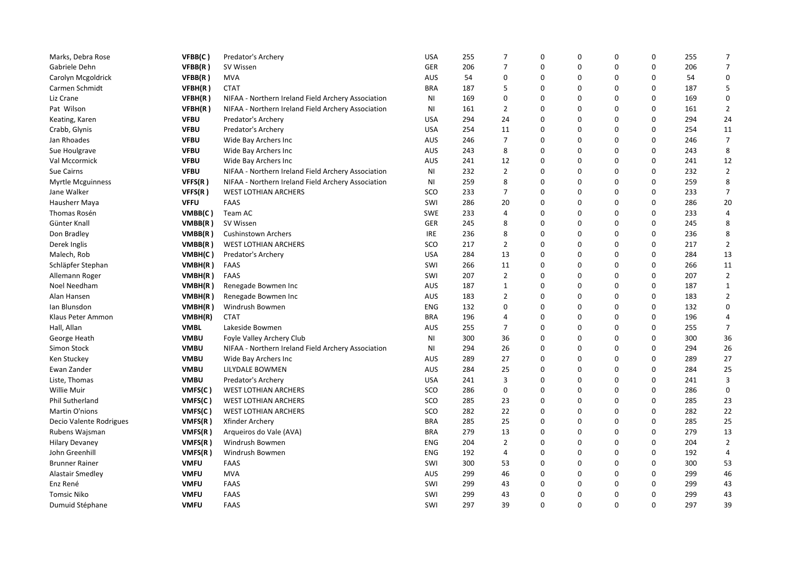| Marks, Debra Rose        | VFBB(C)     | Predator's Archery                                 | <b>USA</b> | 255 | $\overline{7}$ | $\Omega$    | $\Omega$ | 0        | 0        | 255 | 7              |
|--------------------------|-------------|----------------------------------------------------|------------|-----|----------------|-------------|----------|----------|----------|-----|----------------|
| Gabriele Dehn            | VFBB(R)     | SV Wissen                                          | <b>GER</b> | 206 | $\overline{7}$ | $\mathbf 0$ | 0        | 0        | 0        | 206 | $\overline{7}$ |
| Carolyn Mcgoldrick       | VFBB(R)     | <b>MVA</b>                                         | <b>AUS</b> | 54  | $\mathbf 0$    | $\Omega$    | 0        | 0        | 0        | 54  | $\Omega$       |
| Carmen Schmidt           | VFBH(R)     | <b>CTAT</b>                                        | <b>BRA</b> | 187 | 5              | $\Omega$    | 0        | 0        | 0        | 187 | 5              |
| Liz Crane                | VFBH(R)     | NIFAA - Northern Ireland Field Archery Association | ΝI         | 169 | 0              | 0           | 0        | 0        | 0        | 169 | 0              |
| Pat Wilson               | VFBH(R)     | NIFAA - Northern Ireland Field Archery Association | <b>NI</b>  | 161 | $\overline{2}$ | $\Omega$    | 0        | 0        | $\Omega$ | 161 | $\overline{2}$ |
| Keating, Karen           | <b>VFBU</b> | Predator's Archery                                 | <b>USA</b> | 294 | 24             | $\Omega$    | 0        | 0        | 0        | 294 | 24             |
| Crabb, Glynis            | <b>VFBU</b> | Predator's Archery                                 | <b>USA</b> | 254 | 11             | 0           | 0        | 0        | 0        | 254 | 11             |
| Jan Rhoades              | <b>VFBU</b> | Wide Bay Archers Inc                               | <b>AUS</b> | 246 | $\overline{7}$ | $\Omega$    | 0        | 0        | 0        | 246 | $\overline{7}$ |
| Sue Houlgrave            | <b>VFBU</b> | Wide Bay Archers Inc                               | <b>AUS</b> | 243 | 8              | $\Omega$    | 0        | 0        | 0        | 243 | 8              |
| Val Mccormick            | <b>VFBU</b> | Wide Bay Archers Inc                               | <b>AUS</b> | 241 | 12             | $\Omega$    | $\Omega$ | $\Omega$ | $\Omega$ | 241 | 12             |
| Sue Cairns               | <b>VFBU</b> | NIFAA - Northern Ireland Field Archery Association | ΝI         | 232 | $\overline{2}$ | 0           | 0        | 0        | 0        | 232 | $\overline{2}$ |
| <b>Myrtle Mcguinness</b> | VFFS(R)     | NIFAA - Northern Ireland Field Archery Association | ΝI         | 259 | 8              | $\Omega$    | 0        | 0        | 0        | 259 | 8              |
| Jane Walker              | VFFS(R)     | <b>WEST LOTHIAN ARCHERS</b>                        | SCO        | 233 | $\overline{7}$ | $\Omega$    | 0        | 0        | 0        | 233 | $\overline{7}$ |
| Hausherr Maya            | <b>VFFU</b> | <b>FAAS</b>                                        | SWI        | 286 | 20             | 0           | 0        | 0        | 0        | 286 | 20             |
| Thomas Rosén             | VMBB(C)     | Team AC                                            | <b>SWE</b> | 233 | $\overline{4}$ | $\Omega$    | 0        | 0        | $\Omega$ | 233 | 4              |
| Günter Knall             | VMBB(R)     | SV Wissen                                          | GER        | 245 | 8              | $\Omega$    | 0        | 0        | 0        | 245 | 8              |
| Don Bradley              | VMBB(R)     | <b>Cushinstown Archers</b>                         | <b>IRE</b> | 236 | 8              | 0           | 0        | 0        | 0        | 236 | 8              |
| Derek Inglis             | VMBB(R)     | <b>WEST LOTHIAN ARCHERS</b>                        | SCO        | 217 | $\overline{2}$ | $\Omega$    | 0        | 0        | 0        | 217 | $\overline{2}$ |
| Malech, Rob              | VMBH(C)     | Predator's Archery                                 | <b>USA</b> | 284 | 13             | $\Omega$    | 0        | 0        | 0        | 284 | 13             |
| Schläpfer Stephan        | VMBH(R)     | <b>FAAS</b>                                        | SWI        | 266 | 11             | $\Omega$    | $\Omega$ | 0        | 0        | 266 | 11             |
| Allemann Roger           | VMBH(R)     | <b>FAAS</b>                                        | SWI        | 207 | $\overline{2}$ | $\Omega$    | 0        | 0        | 0        | 207 | $\overline{2}$ |
| Noel Needham             | VMBH(R)     | Renegade Bowmen Inc                                | <b>AUS</b> | 187 | 1              | $\Omega$    | 0        | 0        | 0        | 187 | 1              |
| Alan Hansen              | VMBH(R)     | Renegade Bowmen Inc                                | AUS        | 183 | $\overline{2}$ | $\Omega$    | $\Omega$ | $\Omega$ | $\Omega$ | 183 | $\overline{2}$ |
| Ian Blunsdon             | VMBH(R)     | Windrush Bowmen                                    | <b>ENG</b> | 132 | 0              | $\Omega$    | 0        | 0        | 0        | 132 | 0              |
| Klaus Peter Ammon        | VMBH(R)     | <b>CTAT</b>                                        | <b>BRA</b> | 196 | $\overline{4}$ | $\Omega$    | 0        | 0        | 0        | 196 | 4              |
| Hall, Allan              | <b>VMBL</b> | Lakeside Bowmen                                    | AUS        | 255 | $\overline{7}$ | $\Omega$    | 0        | 0        | 0        | 255 | $\overline{7}$ |
| George Heath             | <b>VMBU</b> | Foyle Valley Archery Club                          | <b>NI</b>  | 300 | 36             | 0           | 0        | 0        | 0        | 300 | 36             |
| Simon Stock              | <b>VMBU</b> | NIFAA - Northern Ireland Field Archery Association | ΝI         | 294 | 26             | $\Omega$    | 0        | 0        | 0        | 294 | 26             |
| Ken Stuckey              | <b>VMBU</b> | Wide Bay Archers Inc                               | AUS        | 289 | 27             | 0           | 0        | 0        | 0        | 289 | 27             |
| Ewan Zander              | <b>VMBU</b> | LILYDALE BOWMEN                                    | <b>AUS</b> | 284 | 25             | 0           | $\Omega$ | 0        | 0        | 284 | 25             |
| Liste, Thomas            | <b>VMBU</b> | Predator's Archery                                 | <b>USA</b> | 241 | 3              | 0           | 0        | 0        | 0        | 241 | 3              |
| <b>Willie Muir</b>       | VMFS(C)     | <b>WEST LOTHIAN ARCHERS</b>                        | SCO        | 286 | $\mathbf 0$    | $\Omega$    | 0        | 0        | 0        | 286 | $\Omega$       |
| Phil Sutherland          | VMFS(C)     | <b>WEST LOTHIAN ARCHERS</b>                        | SCO        | 285 | 23             | $\Omega$    | 0        | 0        | 0        | 285 | 23             |
| Martin O'nions           | VMFS(C)     | <b>WEST LOTHIAN ARCHERS</b>                        | SCO        | 282 | 22             | 0           | 0        | 0        | 0        | 282 | 22             |
| Decio Valente Rodrigues  | VMFS(R)     | Xfinder Archery                                    | <b>BRA</b> | 285 | 25             | $\Omega$    | 0        | 0        | 0        | 285 | 25             |
| Rubens Wajsman           | VMFS(R)     | Arqueiros do Vale (AVA)                            | <b>BRA</b> | 279 | 13             | $\Omega$    | 0        | 0        | 0        | 279 | 13             |
| <b>Hilary Devaney</b>    | VMFS(R)     | Windrush Bowmen                                    | <b>ENG</b> | 204 | $\overline{2}$ | 0           | 0        | 0        | 0        | 204 | $\overline{2}$ |
| John Greenhill           | VMFS(R)     | Windrush Bowmen                                    | <b>ENG</b> | 192 | 4              | $\Omega$    | 0        | 0        | $\Omega$ | 192 | 4              |
| <b>Brunner Rainer</b>    | <b>VMFU</b> | FAAS                                               | SWI        | 300 | 53             | $\Omega$    | $\Omega$ | 0        | 0        | 300 | 53             |
| <b>Alastair Smedley</b>  | <b>VMFU</b> | <b>MVA</b>                                         | <b>AUS</b> | 299 | 46             | 0           | 0        | 0        | 0        | 299 | 46             |
| Enz René                 | <b>VMFU</b> | <b>FAAS</b>                                        | SWI        | 299 | 43             | 0           | 0        | 0        | 0        | 299 | 43             |
| <b>Tomsic Niko</b>       | <b>VMFU</b> | FAAS                                               | SWI        | 299 | 43             | $\Omega$    | 0        | 0        | 0        | 299 | 43             |
| Dumuid Stéphane          | <b>VMFU</b> | FAAS                                               | SWI        | 297 | 39             | $\Omega$    | $\Omega$ | $\Omega$ | $\Omega$ | 297 | 39             |